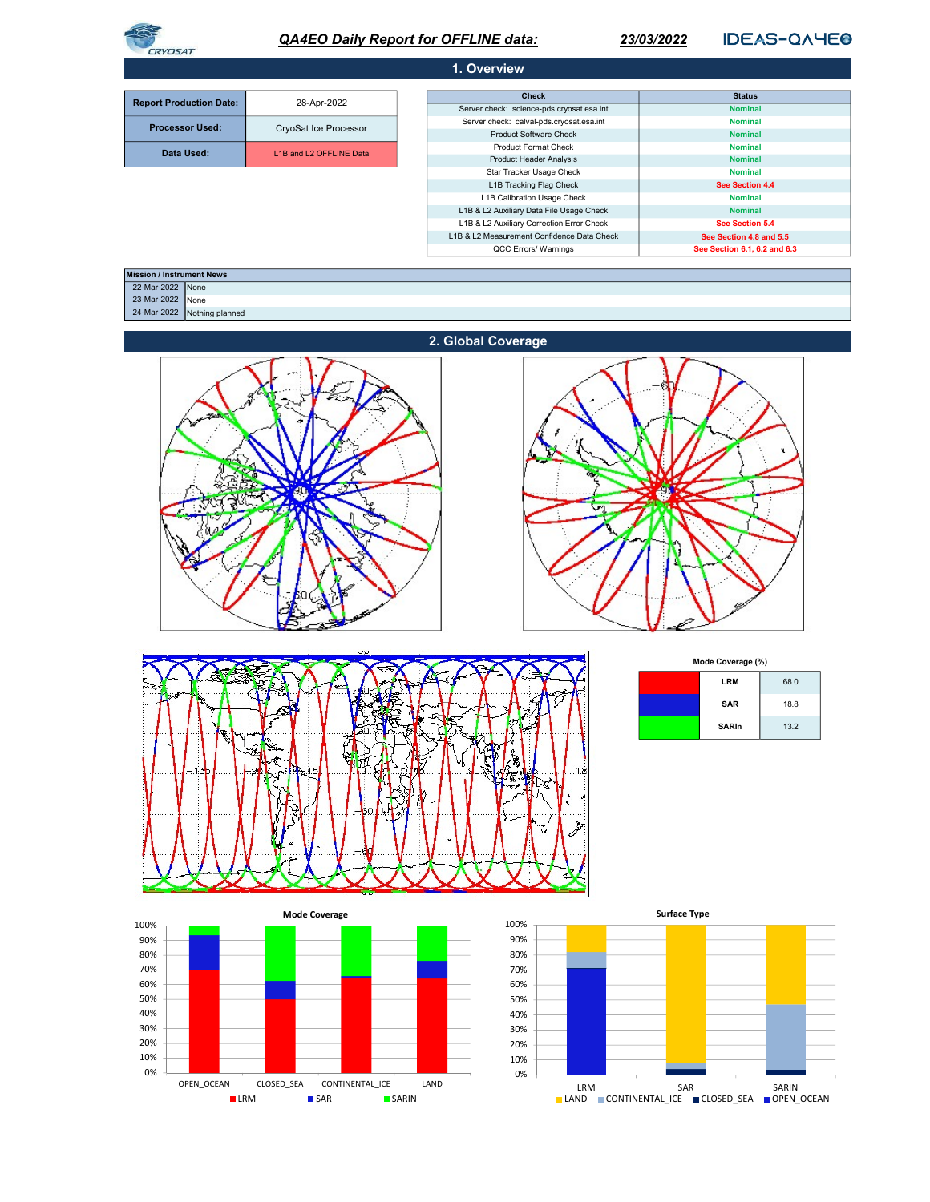

# QA4EO Daily Report for OFFLINE data:

23/03/2022

**IDEAS-QAYEO** 

| 1. Overview                    |                         |                                            |                              |  |  |
|--------------------------------|-------------------------|--------------------------------------------|------------------------------|--|--|
|                                |                         |                                            |                              |  |  |
| <b>Report Production Date:</b> | 28-Apr-2022             | <b>Check</b>                               | <b>Status</b>                |  |  |
|                                |                         | Server check: science-pds.cryosat.esa.int  | <b>Nominal</b>               |  |  |
| <b>Processor Used:</b>         | CryoSat Ice Processor   | Server check: calval-pds.cryosat.esa.int   | <b>Nominal</b>               |  |  |
|                                |                         | <b>Product Software Check</b>              | <b>Nominal</b>               |  |  |
|                                | L1B and L2 OFFLINE Data | <b>Product Format Check</b>                | <b>Nominal</b>               |  |  |
| Data Used:                     |                         | <b>Product Header Analysis</b>             | <b>Nominal</b>               |  |  |
|                                |                         | Star Tracker Usage Check                   | <b>Nominal</b>               |  |  |
|                                |                         | L1B Tracking Flag Check                    | See Section 4.4              |  |  |
|                                |                         | L1B Calibration Usage Check                | <b>Nominal</b>               |  |  |
|                                |                         | L1B & L2 Auxiliary Data File Usage Check   | <b>Nominal</b>               |  |  |
|                                |                         | L1B & L2 Auxiliary Correction Error Check  | See Section 5.4              |  |  |
|                                |                         | L1B & L2 Measurement Confidence Data Check | See Section 4.8 and 5.5      |  |  |
|                                |                         | QCC Errors/ Warnings                       | See Section 6.1, 6.2 and 6.3 |  |  |

| <b>Mission / Instrument News</b> |                             |  |
|----------------------------------|-----------------------------|--|
| 22-Mar-2022 None                 |                             |  |
| 23-Mar-2022 None                 |                             |  |
|                                  | 24-Mar-2022 Nothing planned |  |











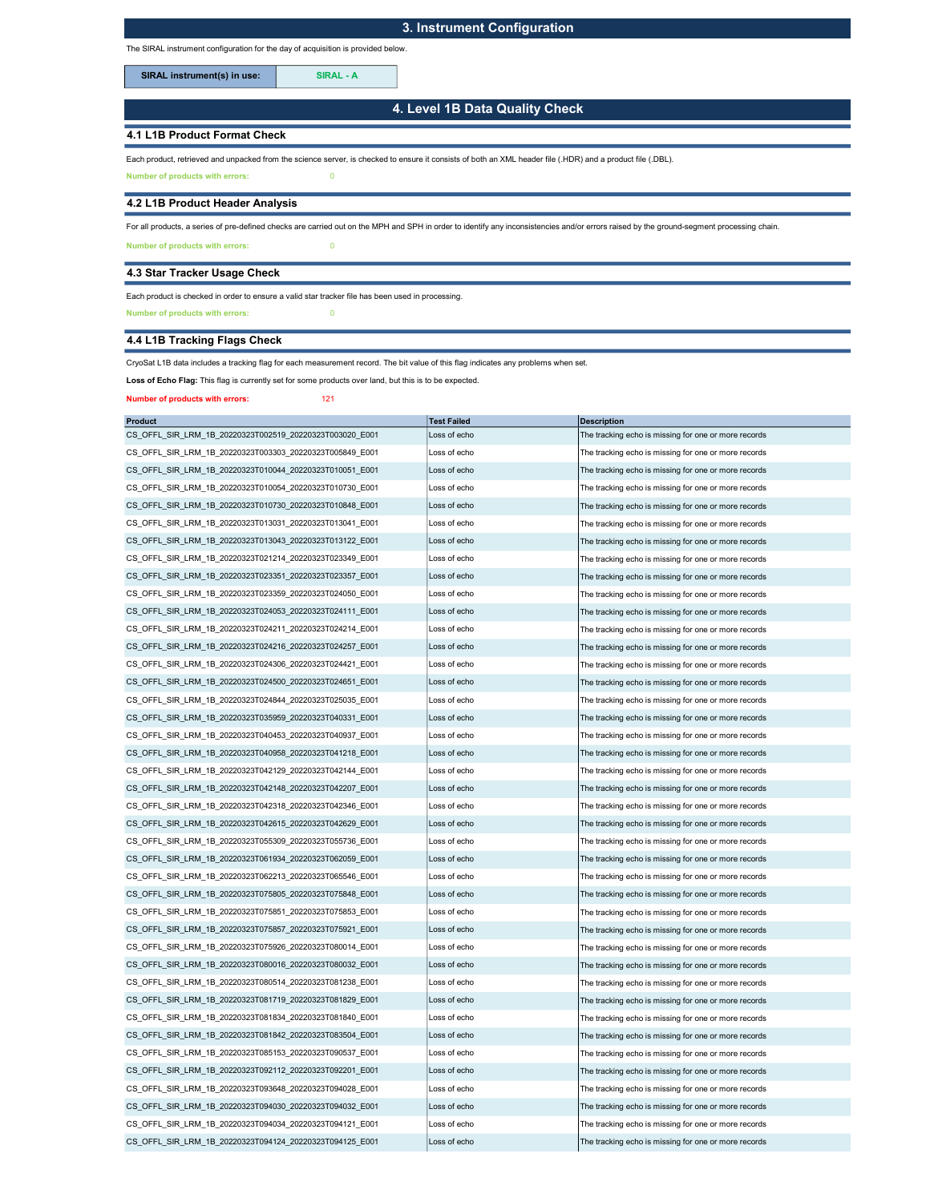# 3. Instrument Configuration

The SIRAL instrument configuration for the day of acquisition is provided below.

SIRAL instrument(s) in use: SIRAL - A

4. Level 1B Data Quality Check

## 4.1 L1B Product Format Check

Each product, retrieved and unpacked from the science server, is checked to ensure it consists of both an XML header file (.HDR) and a product file (.DBL).

Number of products with errors: 0

#### 4.2 L1B Product Header Analysis

For all products, a series of pre-defined checks are carried out on the MPH and SPH in order to identify any inconsistencies and/or errors raised by the ground-segment processing chain.

Number of products with errors: 0

### 4.3 Star Tracker Usage Check

Each product is checked in order to ensure a valid star tracker file has been used in processing.

Number of products with errors: 0

# 4.4 L1B Tracking Flags Check

CryoSat L1B data includes a tracking flag for each measurement record. The bit value of this flag indicates any problems when set.

Loss of Echo Flag: This flag is currently set for some products over land, but this is to be expected.

Number of products with errors: 121

| <b>Product</b>                                          | <b>Test Failed</b> | <b>Description</b>                                   |
|---------------------------------------------------------|--------------------|------------------------------------------------------|
| CS OFFL SIR LRM 1B 20220323T002519 20220323T003020 E001 | Loss of echo       | The tracking echo is missing for one or more records |
| CS OFFL SIR LRM 1B 20220323T003303 20220323T005849 E001 | Loss of echo       | The tracking echo is missing for one or more records |
| CS OFFL SIR LRM 1B 20220323T010044 20220323T010051 E001 | Loss of echo       | The tracking echo is missing for one or more records |
| CS OFFL SIR LRM 1B 20220323T010054 20220323T010730 E001 | Loss of echo       | The tracking echo is missing for one or more records |
| CS_OFFL_SIR_LRM_1B_20220323T010730_20220323T010848_E001 | Loss of echo       | The tracking echo is missing for one or more records |
| CS OFFL SIR LRM 1B 20220323T013031 20220323T013041 E001 | Loss of echo       | The tracking echo is missing for one or more records |
| CS OFFL SIR LRM 1B 20220323T013043 20220323T013122 E001 | Loss of echo       | The tracking echo is missing for one or more records |
| CS_OFFL_SIR_LRM_1B_20220323T021214_20220323T023349_E001 | Loss of echo       | The tracking echo is missing for one or more records |
| CS OFFL SIR LRM 1B 20220323T023351 20220323T023357 E001 | Loss of echo       | The tracking echo is missing for one or more records |
| CS OFFL SIR LRM 1B 20220323T023359 20220323T024050 E001 | Loss of echo       | The tracking echo is missing for one or more records |
| CS OFFL SIR LRM 1B 20220323T024053 20220323T024111 E001 | Loss of echo       | The tracking echo is missing for one or more records |
| CS OFFL SIR LRM 1B 20220323T024211 20220323T024214 E001 | Loss of echo       | The tracking echo is missing for one or more records |
| CS_OFFL_SIR_LRM_1B_20220323T024216_20220323T024257_E001 | Loss of echo       | The tracking echo is missing for one or more records |
| CS_OFFL_SIR_LRM_1B_20220323T024306_20220323T024421_E001 | Loss of echo       | The tracking echo is missing for one or more records |
| CS OFFL SIR LRM 1B 20220323T024500 20220323T024651 E001 | Loss of echo       | The tracking echo is missing for one or more records |
| CS_OFFL_SIR_LRM_1B_20220323T024844_20220323T025035_E001 | Loss of echo       | The tracking echo is missing for one or more records |
| CS OFFL SIR LRM 1B 20220323T035959 20220323T040331 E001 | Loss of echo       | The tracking echo is missing for one or more records |
| CS OFFL SIR LRM 1B 20220323T040453 20220323T040937 E001 | Loss of echo       | The tracking echo is missing for one or more records |
| CS OFFL SIR LRM 1B 20220323T040958 20220323T041218 E001 | Loss of echo       | The tracking echo is missing for one or more records |
| CS OFFL SIR LRM 1B 20220323T042129 20220323T042144 E001 | Loss of echo       | The tracking echo is missing for one or more records |
| CS OFFL SIR LRM 1B 20220323T042148 20220323T042207 E001 | Loss of echo       | The tracking echo is missing for one or more records |
| CS_OFFL_SIR_LRM_1B_20220323T042318_20220323T042346_E001 | Loss of echo       | The tracking echo is missing for one or more records |
| CS OFFL SIR LRM 1B 20220323T042615 20220323T042629 E001 | Loss of echo       | The tracking echo is missing for one or more records |
| CS OFFL SIR LRM 1B 20220323T055309 20220323T055736 E001 | Loss of echo       | The tracking echo is missing for one or more records |
| CS_OFFL_SIR_LRM_1B_20220323T061934_20220323T062059_E001 | Loss of echo       | The tracking echo is missing for one or more records |
| CS OFFL SIR LRM 1B 20220323T062213 20220323T065546 E001 | Loss of echo       | The tracking echo is missing for one or more records |
| CS_OFFL_SIR_LRM_1B_20220323T075805_20220323T075848_E001 | Loss of echo       | The tracking echo is missing for one or more records |
| CS OFFL SIR LRM 1B 20220323T075851 20220323T075853 E001 | Loss of echo       | The tracking echo is missing for one or more records |
| CS OFFL SIR LRM 1B 20220323T075857 20220323T075921 E001 | Loss of echo       | The tracking echo is missing for one or more records |
| CS OFFL SIR LRM 1B 20220323T075926 20220323T080014 E001 | Loss of echo       | The tracking echo is missing for one or more records |
| CS OFFL SIR LRM 1B 20220323T080016 20220323T080032 E001 | Loss of echo       | The tracking echo is missing for one or more records |
| CS OFFL SIR LRM 1B 20220323T080514 20220323T081238 E001 | Loss of echo       | The tracking echo is missing for one or more records |
| CS OFFL SIR LRM 1B 20220323T081719 20220323T081829 E001 | Loss of echo       | The tracking echo is missing for one or more records |
| CS OFFL SIR LRM 1B 20220323T081834 20220323T081840 E001 | Loss of echo       | The tracking echo is missing for one or more records |
| CS OFFL SIR LRM 1B 20220323T081842 20220323T083504 E001 | Loss of echo       | The tracking echo is missing for one or more records |
| CS OFFL SIR LRM 1B 20220323T085153 20220323T090537 E001 | Loss of echo       | The tracking echo is missing for one or more records |
| CS OFFL SIR LRM 1B 20220323T092112 20220323T092201 E001 | Loss of echo       | The tracking echo is missing for one or more records |
| CS_OFFL_SIR_LRM_1B_20220323T093648_20220323T094028_E001 | Loss of echo       | The tracking echo is missing for one or more records |
| CS OFFL SIR LRM 1B 20220323T094030 20220323T094032 E001 | Loss of echo       | The tracking echo is missing for one or more records |
| CS OFFL SIR LRM 1B 20220323T094034 20220323T094121 E001 | Loss of echo       | The tracking echo is missing for one or more records |
| CS OFFL SIR LRM 1B 20220323T094124 20220323T094125 E001 | Loss of echo       | The tracking echo is missing for one or more records |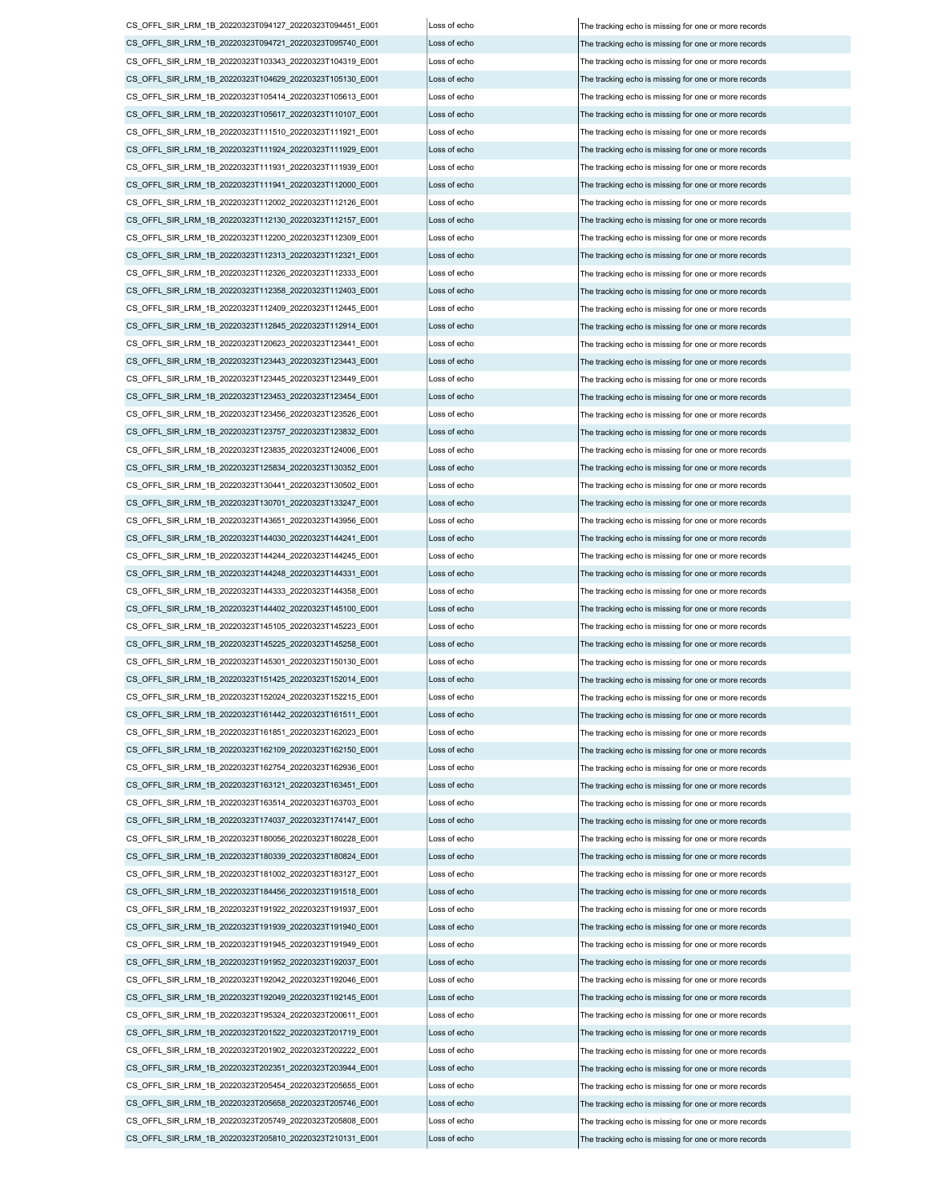$CS$  OFFL\_SIR\_LRM\_1B\_20220323T201902\_20220323T202222\_E001 Loss of echo  $\overline{C}$  The tracking echo is missing for one or more records CS\_OFFL\_SIR\_LRM\_1B\_20220323T202351\_20220323T203944\_E001 Loss of echo The tracking echo is missing for one or more records CS\_OFFL\_SIR\_LRM\_1B\_20220323T205454\_20220323T205655\_E001 Loss of echo The tracking echo is missing for one or more records CS\_OFFL\_SIR\_LRM\_1B\_20220323T205658\_20220323T205746\_E001 Loss of echo The tracking echo is missing for one or more records CS\_OFFL\_SIR\_LRM\_1B\_20220323T205749\_20220323T205808\_E001 Loss of echo The tracking echo is missing for one or more records CS\_OFFL\_SIR\_LRM\_1B\_20220323T205810\_20220323T210131\_E001 Loss of echo CS\_OFFL\_SIR\_LRM\_1B\_20220323T184456\_20220323T191518\_E001 Loss of echo The tracking echo is missing for one or more records CS\_OFFL\_SIR\_LRM\_1B\_20220323T191922\_20220323T191937\_E001 Loss of echo The tracking echo is missing for one or more records CS\_OFFL\_SIR\_LRM\_1B\_20220323T191939\_20220323T191940\_E001 Loss of echo The tracking echo is missing for one or more records CS\_OFFL\_SIR\_LRM\_1B\_20220323T191945\_20220323T191949\_E001 Loss of echo CS\_OFFL\_SIR\_LRM\_1B\_20220323T191952\_20220323T192037\_E001 Loss of echo The tracking echo is missing for one or more records CS\_OFFL\_SIR\_LRM\_1B\_20220323T192042\_20220323T192046\_E001 Loss of echo The tracking echo is missing for one or more records CS\_OFFL\_SIR\_LRM\_1B\_20220323T192049\_20220323T192145\_E001 Loss of echo The tracking echo is missing for one or more records CS\_OFFL\_SIR\_LRM\_1B\_20220323T195324\_20220323T200611\_E001 Loss of echo The tracking echo is missing for one or more records CS\_OFFL\_SIR\_LRM\_1B\_20220323T201522\_20220323T201719\_E001 Loss of echo The tracking echo is missing for one or more records  $CS$  OFFL\_SIR\_LRM\_1B\_20220323T152024\_20220323T152215\_E001 Loss of echo  $\overline{C}$  The tracking echo is missing for one or more records CS\_OFFL\_SIR\_LRM\_1B\_20220323T161442\_20220323T161511\_E001 Loss of echo The tracking echo is missing for one or more records CS\_OFFL\_SIR\_LRM\_1B\_20220323T161851\_20220323T162023\_E001 Loss of echo The tracking echo is missing for one or more records CS\_OFFL\_SIR\_LRM\_1B\_20220323T162109\_20220323T162150\_E001 Loss of echo The tracking echo is missing for one or more records CS\_OFFL\_SIR\_LRM\_1B\_20220323T162754\_20220323T162936\_E001 Loss of echo  $\vert$  The tracking echo is missing for one or more records CS\_OFFL\_SIR\_LRM\_1B\_20220323T163121\_20220323T163451\_E001 Loss of echo The tracking echo is missing for one or more records CS\_OFFL\_SIR\_LRM\_1B\_20220323T163514\_20220323T163703\_E001 Loss of echo The tracking echo is missing for one or more records CS\_OFFL\_SIR\_LRM\_1B\_20220323T174037\_20220323T174147\_E001 Loss of echo The tracking echo is missing for one or more records CS\_OFFL\_SIR\_LRM\_1B\_20220323T180056\_20220323T180228\_E001 Loss of echo The tracking echo is missing for one or more records CS\_OFFL\_SIR\_LRM\_1B\_20220323T180339\_20220323T180824\_E001 Loss of echo The tracking echo is missing for one or more records CS\_OFFL\_SIR\_LRM\_1B\_20220323T181002\_20220323T183127\_E001  $CS$  OFFL\_SIR\_LRM\_1B\_20220323T144333\_20220323T144358\_E001 Loss of echo  $\Box$  The tracking echo is missing for one or more records CS\_OFFL\_SIR\_LRM\_1B\_20220323T144402\_20220323T145100\_E001 Loss of echo The tracking echo is missing for one or more records CS\_OFFL\_SIR\_LRM\_1B\_20220323T145105\_20220323T145223\_E001 Loss of echo  $\vert$ The tracking echo is missing for one or more records CS\_OFFL\_SIR\_LRM\_1B\_20220323T145225\_20220323T145258\_E001 Loss of echo The tracking echo is missing for one or more records CS\_OFFL\_SIR\_LRM\_1B\_20220323T145301\_20220323T150130\_E001 Loss of echo The tracking echo is missing for one or more records CS\_OFFL\_SIR\_LRM\_1B\_20220323T151425\_20220323T152014\_E001 Loss of echo The tracking echo is missing for one or more records  $CS$  OFFL\_SIR\_LRM\_1B\_20220323T130441\_20220323T130502\_E001 Loss of echo  $\vert$  The tracking echo is missing for one or more records CS\_OFFL\_SIR\_LRM\_1B\_20220323T130701\_20220323T133247\_E001 Loss of echo The tracking echo is missing for one or more records CS\_OFFL\_SIR\_LRM\_1B\_20220323T143651\_20220323T143956\_E001 Loss of echo The tracking echo is missing for one or more records CS\_OFFL\_SIR\_LRM\_1B\_20220323T144030\_20220323T144241\_E001 Loss of echo The tracking echo is missing for one or more records CS\_OFFL\_SIR\_LRM\_1B\_20220323T144244\_20220323T144245\_E001 Loss of echo The tracking echo is missing for one or more records CS\_OFFL\_SIR\_LRM\_1B\_20220323T144248\_20220323T144331\_E001 Loss of echo The tracking echo is missing for one or more records CS\_OFFL\_SIR\_LRM\_1B\_20220323T123445\_20220323T123449\_E001 Loss of echo The tracking echo is missing for one or more records CS\_OFFL\_SIR\_LRM\_1B\_20220323T123453\_20220323T123454\_E001 Loss of echo The tracking echo is missing for one or more records CS\_OFFL\_SIR\_LRM\_1B\_20220323T123456\_20220323T123526\_E001 Loss of echo The tracking echo is missing for one or more records CS\_OFFL\_SIR\_LRM\_1B\_20220323T123757\_20220323T123832\_E001 Loss of echo The tracking echo is missing for one or more records CS\_OFFL\_SIR\_LRM\_1B\_20220323T123835\_20220323T124006\_E001 Loss of echo The tracking echo is missing for one or more records CS\_OFFL\_SIR\_LRM\_1B\_20220323T125834\_20220323T130352\_E001 Loss of echo The tracking echo is missing for one or more records CS\_OFFL\_SIR\_LRM\_1B\_20220323T112326\_20220323T112333\_E001 Loss of echo The tracking echo is missing for one or more records CS\_OFFL\_SIR\_LRM\_1B\_20220323T112358\_20220323T112403\_E001 Loss of echo The tracking echo is missing for one or more records CS\_OFFL\_SIR\_LRM\_1B\_20220323T112409\_20220323T112445\_E001 Loss of echo The tracking echo is missing for one or more records CS\_OFFL\_SIR\_LRM\_1B\_20220323T112845\_20220323T112914\_E001 Loss of echo The tracking echo is missing for one or more records CS\_OFFL\_SIR\_LRM\_1B\_20220323T120623\_20220323T123441\_E001 Loss of echo The tracking echo is missing for one or more records CS\_OFFL\_SIR\_LRM\_1B\_20220323T123443\_20220323T123443\_E001 Loss of echo The tracking echo is missing for one or more records CS\_OFFL\_SIR\_LRM\_1B\_20220323T111931\_20220323T111939\_E001 Loss of echo The tracking echo is missing for one or more records CS\_OFFL\_SIR\_LRM\_1B\_20220323T111941\_20220323T112000\_E001 Loss of echo The tracking echo is missing for one or more records CS\_OFFL\_SIR\_LRM\_1B\_20220323T112002\_20220323T112126\_E001 Loss of echo The tracking echo is missing for one or more records CS\_OFFL\_SIR\_LRM\_1B\_20220323T112130\_20220323T112157\_E001 Loss of echo The tracking echo is missing for one or more records CS\_OFFL\_SIR\_LRM\_1B\_20220323T112200\_20220323T112309\_E001 Loss of echo The tracking echo is missing for one or more records CS\_OFFL\_SIR\_LRM\_1B\_20220323T112313\_20220323T112321\_E001 Loss of echo The tracking echo is missing for one or more records CS\_OFFL\_SIR\_LRM\_1B\_20220323T103343\_20220323T104319\_E001 Loss of echo The tracking echo is missing for one or more records CS\_OFFL\_SIR\_LRM\_1B\_20220323T104629\_20220323T105130\_E001 Loss of echo The tracking echo is missing for one or more records CS\_OFFL\_SIR\_LRM\_1B\_20220323T105414\_20220323T105613\_E001 Loss of echo The tracking echo is missing for one or more records CS\_OFFL\_SIR\_LRM\_1B\_20220323T105617\_20220323T110107\_E001 Loss of echo The tracking echo is missing for one or more records CS\_OFFL\_SIR\_LRM\_1B\_20220323T111510\_20220323T111921\_E001 Loss of echo The tracking echo is missing for one or more records CS\_OFFL\_SIR\_LRM\_1B\_20220323T111924\_20220323T111929\_E001 Loss of echo The tracking echo is missing for one or more records CS\_OFFL\_SIR\_LRM\_1B\_20220323T094127\_20220323T094451\_E001 Loss of echo The tracking echo is missing for one or more records CS\_OFFL\_SIR\_LRM\_1B\_20220323T094721\_20220323T095740\_E001 Loss of echo The tracking echo is missing for one or more records

oss of echo **The tracking echo is missing for one or more records** The tracking echo is missing for one or more records The tracking echo is missing for one or more records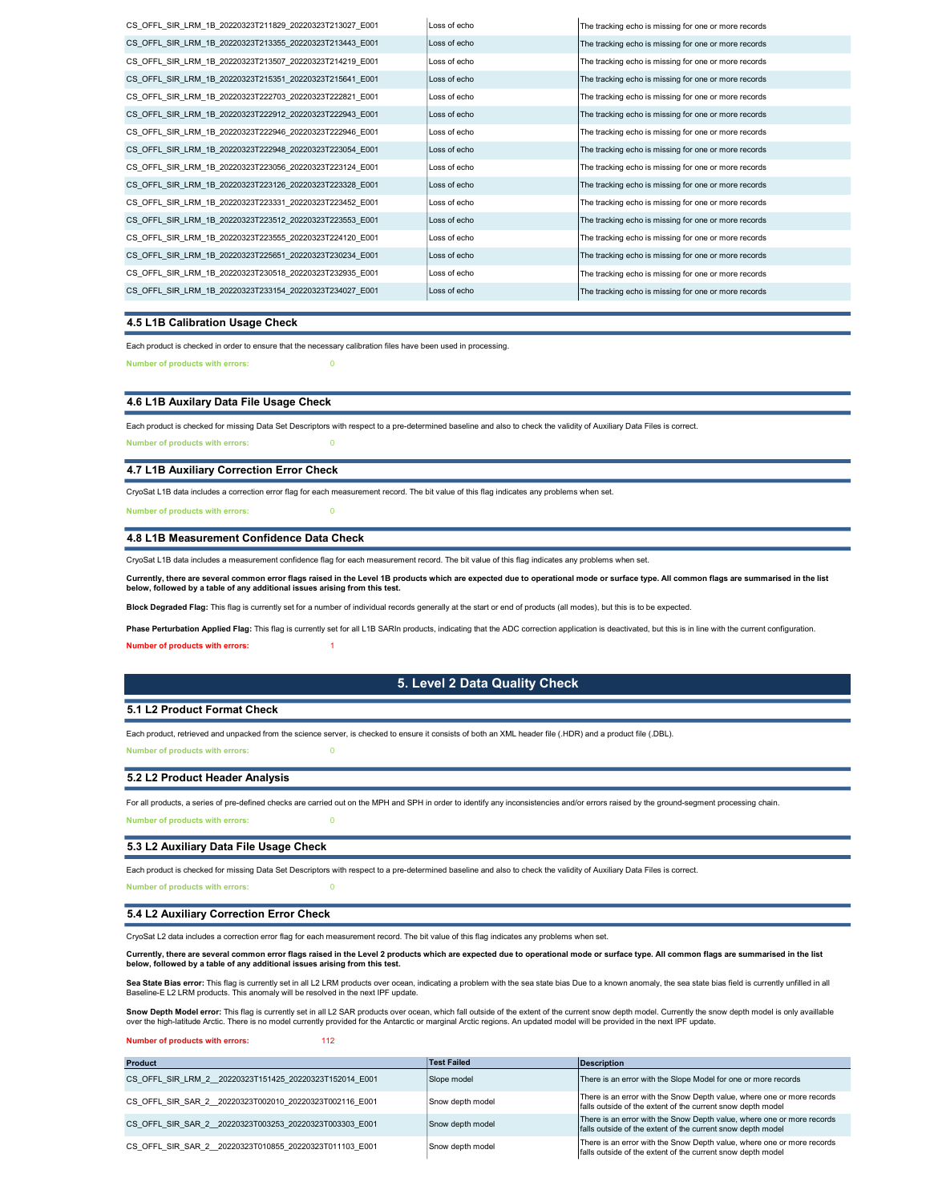| CS OFFL SIR LRM 1B 20220323T211829 20220323T213027 E001 | Loss of echo | The tracking echo is missing for one or more records |
|---------------------------------------------------------|--------------|------------------------------------------------------|
| CS OFFL SIR LRM 1B 20220323T213355 20220323T213443 E001 | Loss of echo | The tracking echo is missing for one or more records |
| CS OFFL SIR LRM 1B 20220323T213507 20220323T214219 E001 | Loss of echo | The tracking echo is missing for one or more records |
| CS OFFL SIR LRM 1B 20220323T215351 20220323T215641 E001 | Loss of echo | The tracking echo is missing for one or more records |
| CS OFFL SIR LRM 1B 20220323T222703 20220323T222821 E001 | Loss of echo | The tracking echo is missing for one or more records |
| CS_OFFL_SIR_LRM_1B_20220323T222912_20220323T222943_E001 | Loss of echo | The tracking echo is missing for one or more records |
| CS OFFL SIR LRM 1B 20220323T222946 20220323T222946 E001 | Loss of echo | The tracking echo is missing for one or more records |
| CS OFFL SIR LRM 1B 20220323T222948 20220323T223054 E001 | Loss of echo | The tracking echo is missing for one or more records |
| CS OFFL SIR LRM 1B 20220323T223056 20220323T223124 E001 | Loss of echo | The tracking echo is missing for one or more records |
| CS OFFL SIR LRM 1B 20220323T223126 20220323T223328 E001 | Loss of echo | The tracking echo is missing for one or more records |
| CS OFFL SIR LRM 1B 20220323T223331 20220323T223452 E001 | Loss of echo | The tracking echo is missing for one or more records |
| CS OFFL SIR LRM 1B 20220323T223512 20220323T223553 E001 | Loss of echo | The tracking echo is missing for one or more records |
| CS OFFL SIR LRM 1B 20220323T223555 20220323T224120 E001 | Loss of echo | The tracking echo is missing for one or more records |
| CS OFFL SIR LRM 1B 20220323T225651 20220323T230234 E001 | Loss of echo | The tracking echo is missing for one or more records |
| CS OFFL SIR LRM 1B 20220323T230518 20220323T232935 E001 | Loss of echo | The tracking echo is missing for one or more records |
| CS OFFL SIR LRM 1B 20220323T233154 20220323T234027 E001 | Loss of echo | The tracking echo is missing for one or more records |
|                                                         |              |                                                      |

#### 4.5 L1B Calibration Usage Check

Number of products with errors: 0 Each product is checked in order to ensure that the necessary calibration files have been used in processing.

# 4.6 L1B Auxilary Data File Usage Check

Each product is checked for missing Data Set Descriptors with respect to a pre-determined baseline and also to check the validity of Auxiliary Data Files is correct. Number of products with errors: 0

# 4.7 L1B Auxiliary Correction Error Check

CryoSat L1B data includes a correction error flag for each measurement record. The bit value of this flag indicates any problems when set.

mber of products with errors:

#### 4.8 L1B Measurement Confidence Data Check

CryoSat L1B data includes a measurement confidence flag for each measurement record. The bit value of this flag indicates any problems when set.

Currently, there are several common error flags raised in the Level 1B products which are expected due to operational mode or surface type. All common flags are summarised in the list below, followed by a table of any additional issues arising from this test.

Block Degraded Flag: This flag is currently set for a number of individual records generally at the start or end of products (all modes), but this is to be expected.

Phase Perturbation Applied Flag: This flag is currently set for all L1B SARIn products, indicating that the ADC correction application is deactivated, but this is in line with the current configuration.

Number of products with errors: 1

# 5. Level 2 Data Quality Check

#### 5.1 L2 Product Format Check

Each product, retrieved and unpacked from the science server, is checked to ensure it consists of both an XML header file (.HDR) and a product file (.DBL). Number of products with errors: 0

#### 5.2 L2 Product Header Analysis

Number of products with errors: 0 For all products, a series of pre-defined checks are carried out on the MPH and SPH in order to identify any inconsistencies and/or errors raised by the ground-segment processing chain.

# 5.3 L2 Auxiliary Data File Usage Check

Each product is checked for missing Data Set Descriptors with respect to a pre-determined baseline and also to check the validity of Auxiliary Data Files is correct.

Number of products with errors:

#### 5.4 L2 Auxiliary Correction Error Check

CryoSat L2 data includes a correction error flag for each measurement record. The bit value of this flag indicates any problems when set.

Currently, there are several common error flags raised in the Level 2 products which are expected due to operational mode or surface type. All common flags are summarised in the list below, followed by a table of any additional issues arising from this test.

**Sea State Bias error:** This flag is currently set in all L2 LRM products over ocean, indicating a problem with the sea state bias Due to a known anomaly, the sea state bias field is currently unfilled in all<br>Baseline-E L2

**Snow Depth Model error:** This flag is currently set in all L2 SAR products over ocean, which fall outside of the extent of the current snow depth model. Currently the snow depth model is only availlable<br>over the high-lati

Number of products with errors: 112

| Product                                                | <b>Test Failed</b> | Description                                                                                                                           |
|--------------------------------------------------------|--------------------|---------------------------------------------------------------------------------------------------------------------------------------|
| CS OFFL SIR LRM 2 20220323T151425 20220323T152014 E001 | Slope model        | There is an error with the Slope Model for one or more records                                                                        |
| CS OFFL SIR SAR 2 20220323T002010 20220323T002116 E001 | Snow depth model   | There is an error with the Snow Depth value, where one or more records<br>falls outside of the extent of the current snow depth model |
| CS OFFL SIR SAR 2 20220323T003253 20220323T003303 E001 | Snow depth model   | There is an error with the Snow Depth value, where one or more records<br>falls outside of the extent of the current snow depth model |
| CS OFFL SIR SAR 2 20220323T010855 20220323T011103 E001 | Snow depth model   | There is an error with the Snow Depth value, where one or more records<br>falls outside of the extent of the current snow depth model |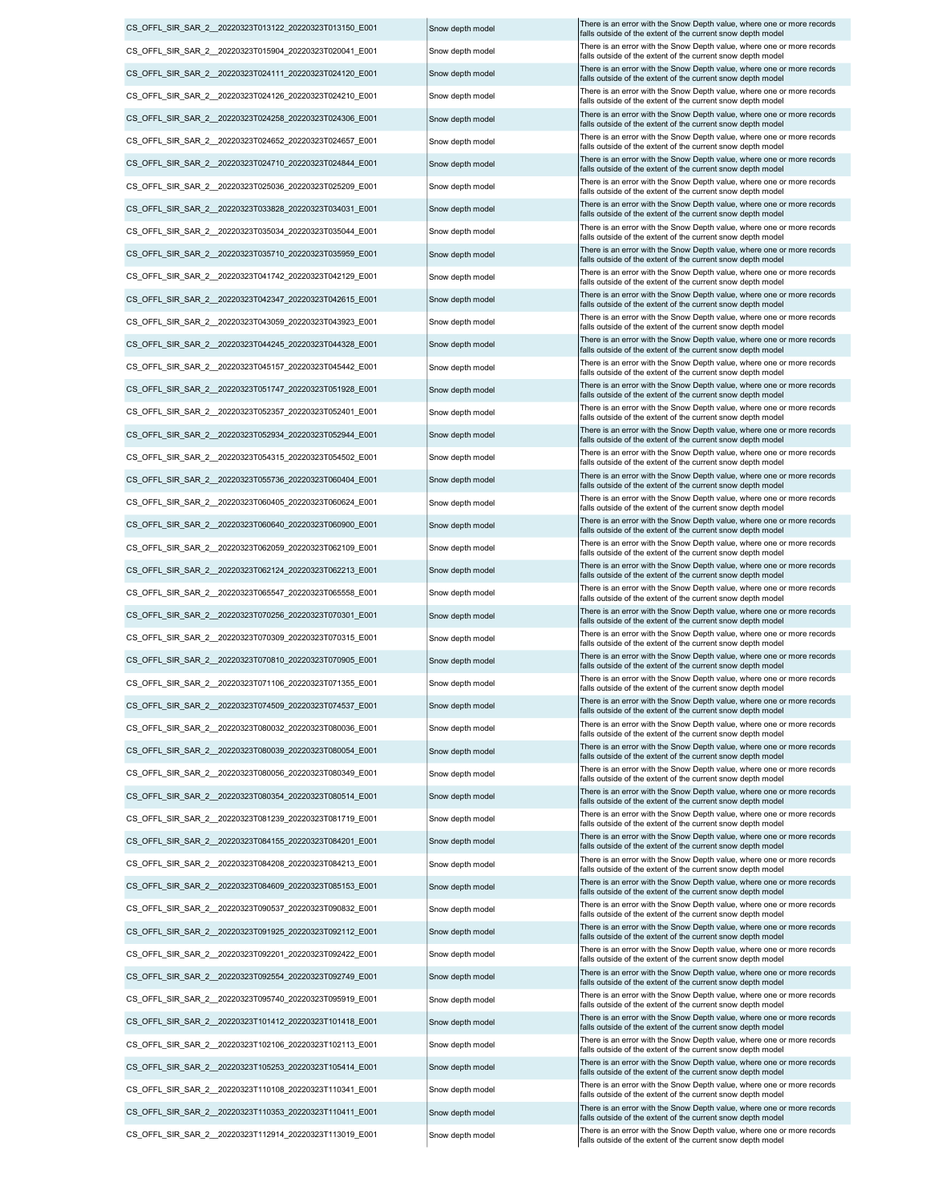|                                                         | Snow depth model | There is an error with the Snow Depth value, where one or more records                                                                |
|---------------------------------------------------------|------------------|---------------------------------------------------------------------------------------------------------------------------------------|
| CS_OFFL_SIR_SAR_2_20220323T013122_20220323T013150_E001  |                  | falls outside of the extent of the current snow depth model<br>There is an error with the Snow Depth value, where one or more records |
| CS OFFL SIR SAR 2 20220323T015904 20220323T020041 E001  | Snow depth model | falls outside of the extent of the current snow depth model                                                                           |
| CS_OFFL_SIR_SAR_2_20220323T024111_20220323T024120_E001  | Snow depth model | There is an error with the Snow Depth value, where one or more records<br>falls outside of the extent of the current snow depth model |
| CS OFFL SIR SAR 2 20220323T024126 20220323T024210 E001  | Snow depth model | There is an error with the Snow Depth value, where one or more records<br>falls outside of the extent of the current snow depth model |
| CS OFFL SIR SAR 2 20220323T024258 20220323T024306 E001  | Snow depth model | There is an error with the Snow Depth value, where one or more records<br>falls outside of the extent of the current snow depth model |
| CS_OFFL_SIR_SAR_2__20220323T024652_20220323T024657_E001 | Snow depth model | There is an error with the Snow Depth value, where one or more records<br>falls outside of the extent of the current snow depth model |
| CS OFFL SIR SAR 2 20220323T024710 20220323T024844 E001  | Snow depth model | There is an error with the Snow Depth value, where one or more records<br>falls outside of the extent of the current snow depth model |
| CS OFFL SIR SAR 2 20220323T025036 20220323T025209 E001  | Snow depth model | There is an error with the Snow Depth value, where one or more records<br>falls outside of the extent of the current snow depth model |
| CS OFFL SIR SAR 2 20220323T033828 20220323T034031 E001  | Snow depth model | There is an error with the Snow Depth value, where one or more records<br>falls outside of the extent of the current snow depth model |
| CS_OFFL_SIR_SAR_2_20220323T035034_20220323T035044_E001  | Snow depth model | There is an error with the Snow Depth value, where one or more records<br>falls outside of the extent of the current snow depth model |
| CS_OFFL_SIR_SAR_2__20220323T035710_20220323T035959_E001 | Snow depth model | There is an error with the Snow Depth value, where one or more records<br>falls outside of the extent of the current snow depth model |
| CS_OFFL_SIR_SAR_2__20220323T041742_20220323T042129_E001 | Snow depth model | There is an error with the Snow Depth value, where one or more records                                                                |
| CS OFFL SIR SAR 2 20220323T042347 20220323T042615 E001  | Snow depth model | falls outside of the extent of the current snow depth model<br>There is an error with the Snow Depth value, where one or more records |
| CS_OFFL_SIR_SAR_2__20220323T043059_20220323T043923_E001 | Snow depth model | falls outside of the extent of the current snow depth model<br>There is an error with the Snow Depth value, where one or more records |
| CS OFFL SIR SAR 2 20220323T044245 20220323T044328 E001  | Snow depth model | falls outside of the extent of the current snow depth model<br>There is an error with the Snow Depth value, where one or more records |
|                                                         | Snow depth model | falls outside of the extent of the current snow depth model<br>There is an error with the Snow Depth value, where one or more records |
| CS_OFFL_SIR_SAR_2__20220323T045157_20220323T045442_E001 |                  | falls outside of the extent of the current snow depth model<br>There is an error with the Snow Depth value, where one or more records |
| CS OFFL SIR SAR 2 20220323T051747 20220323T051928 E001  | Snow depth model | falls outside of the extent of the current snow depth model<br>There is an error with the Snow Depth value, where one or more records |
| CS_OFFL_SIR_SAR_2_20220323T052357_20220323T052401_E001  | Snow depth model | falls outside of the extent of the current snow depth model<br>There is an error with the Snow Depth value, where one or more records |
| CS_OFFL_SIR_SAR_2_20220323T052934_20220323T052944_E001  | Snow depth model | falls outside of the extent of the current snow depth model                                                                           |
| CS_OFFL_SIR_SAR_2_20220323T054315_20220323T054502_E001  | Snow depth model | There is an error with the Snow Depth value, where one or more records<br>falls outside of the extent of the current snow depth model |
| CS_OFFL_SIR_SAR_2__20220323T055736_20220323T060404_E001 | Snow depth model | There is an error with the Snow Depth value, where one or more records<br>falls outside of the extent of the current snow depth model |
| CS_OFFL_SIR_SAR_2_20220323T060405_20220323T060624_E001  | Snow depth model | There is an error with the Snow Depth value, where one or more records<br>falls outside of the extent of the current snow depth model |
| CS_OFFL_SIR_SAR_2_20220323T060640_20220323T060900_E001  | Snow depth model | There is an error with the Snow Depth value, where one or more records<br>falls outside of the extent of the current snow depth model |
| CS_OFFL_SIR_SAR_2__20220323T062059_20220323T062109_E001 | Snow depth model | There is an error with the Snow Depth value, where one or more records<br>falls outside of the extent of the current snow depth model |
| CS_OFFL_SIR_SAR_2_20220323T062124_20220323T062213_E001  | Snow depth model | There is an error with the Snow Depth value, where one or more records<br>falls outside of the extent of the current snow depth model |
| CS_OFFL_SIR_SAR_2__20220323T065547_20220323T065558_E001 | Snow depth model | There is an error with the Snow Depth value, where one or more records<br>falls outside of the extent of the current snow depth model |
| CS OFFL SIR SAR 2 20220323T070256 20220323T070301 E001  | Snow depth model | There is an error with the Snow Depth value, where one or more records<br>falls outside of the extent of the current snow depth model |
| CS_OFFL_SIR_SAR_2_20220323T070309_20220323T070315_E001  | Snow depth model | There is an error with the Snow Depth value, where one or more records<br>falls outside of the extent of the current snow depth model |
| CS OFFL SIR SAR 2 20220323T070810 20220323T070905 E001  | Snow depth model | There is an error with the Snow Depth value, where one or more records<br>falls outside of the extent of the current snow depth model |
| CS OFFL SIR SAR 2 20220323T071106 20220323T071355 E001  | Snow depth model | There is an error with the Snow Depth value, where one or more records<br>falls outside of the extent of the current snow depth model |
| CS_OFFL_SIR_SAR_2__20220323T074509_20220323T074537_E001 | Snow depth model | There is an error with the Snow Depth value, where one or more records<br>falls outside of the extent of the current snow depth model |
| CS OFFL SIR SAR 2 20220323T080032 20220323T080036 E001  | Snow depth model | There is an error with the Snow Depth value, where one or more records<br>falls outside of the extent of the current snow depth model |
| CS OFFL SIR SAR 2 20220323T080039 20220323T080054 E001  | Snow depth model | There is an error with the Snow Depth value, where one or more records                                                                |
| CS OFFL SIR SAR 2 20220323T080056 20220323T080349 E001  | Snow depth model | falls outside of the extent of the current snow depth model<br>There is an error with the Snow Depth value, where one or more records |
| CS OFFL SIR SAR 2 20220323T080354 20220323T080514 E001  | Snow depth model | falls outside of the extent of the current snow depth model<br>There is an error with the Snow Depth value, where one or more records |
| CS OFFL SIR SAR 2 20220323T081239 20220323T081719 E001  | Snow depth model | falls outside of the extent of the current snow depth model<br>There is an error with the Snow Depth value, where one or more records |
| CS OFFL SIR SAR 2 20220323T084155 20220323T084201 E001  | Snow depth model | falls outside of the extent of the current snow depth model<br>There is an error with the Snow Depth value, where one or more records |
| CS OFFL SIR SAR 2 20220323T084208 20220323T084213 E001  |                  | falls outside of the extent of the current snow depth model<br>There is an error with the Snow Depth value, where one or more records |
|                                                         | Snow depth model | falls outside of the extent of the current snow depth model<br>There is an error with the Snow Depth value, where one or more records |
| CS OFFL SIR SAR 2 20220323T084609 20220323T085153 E001  | Snow depth model | falls outside of the extent of the current snow depth model<br>There is an error with the Snow Depth value, where one or more records |
| CS OFFL SIR SAR 2 20220323T090537 20220323T090832 E001  | Snow depth model | falls outside of the extent of the current snow depth model<br>There is an error with the Snow Depth value, where one or more records |
| CS OFFL SIR SAR 2 20220323T091925 20220323T092112 E001  | Snow depth model | falls outside of the extent of the current snow depth model                                                                           |
| CS OFFL SIR SAR 2 20220323T092201 20220323T092422 E001  | Snow depth model | There is an error with the Snow Depth value, where one or more records<br>falls outside of the extent of the current snow depth model |
| CS OFFL SIR SAR 2 20220323T092554 20220323T092749 E001  | Snow depth model | There is an error with the Snow Depth value, where one or more records<br>falls outside of the extent of the current snow depth model |
| CS OFFL SIR SAR 2 20220323T095740 20220323T095919 E001  | Snow depth model | There is an error with the Snow Depth value, where one or more records<br>falls outside of the extent of the current snow depth model |
| CS OFFL SIR SAR 2 20220323T101412 20220323T101418 E001  | Snow depth model | There is an error with the Snow Depth value, where one or more records<br>falls outside of the extent of the current snow depth model |
| CS OFFL SIR SAR 2 20220323T102106 20220323T102113 E001  | Snow depth model | There is an error with the Snow Depth value, where one or more records<br>falls outside of the extent of the current snow depth model |
| CS OFFL SIR SAR 2 20220323T105253 20220323T105414 E001  | Snow depth model | There is an error with the Snow Depth value, where one or more records<br>falls outside of the extent of the current snow depth model |
| CS OFFL SIR SAR 2 20220323T110108 20220323T110341 E001  | Snow depth model | There is an error with the Snow Depth value, where one or more records<br>falls outside of the extent of the current snow depth model |
| CS OFFL SIR SAR 2 20220323T110353 20220323T110411 E001  | Snow depth model | There is an error with the Snow Depth value, where one or more records<br>falls outside of the extent of the current snow depth model |
| CS_OFFL_SIR_SAR_2_20220323T112914_20220323T113019_E001  | Snow depth model | There is an error with the Snow Depth value, where one or more records                                                                |

|  | Snow depth model |
|--|------------------|
|  | Snow depth model |
|  | Snow depth model |
|  | Snow depth model |
|  | Snow depth model |
|  | Snow depth model |
|  | Snow depth model |
|  | Snow depth model |
|  | Snow depth model |
|  | Snow depth model |
|  | Snow depth model |
|  | Snow depth model |
|  | Snow depth model |
|  | Snow depth model |
|  | Snow depth model |
|  | Snow depth model |
|  | Snow depth model |
|  | Snow depth model |
|  | Snow depth model |
|  | Snow depth model |
|  | Snow depth model |
|  | Snow depth model |
|  | Snow depth model |
|  | Snow depth model |
|  | Snow depth model |
|  | Snow depth model |
|  | Snow depth model |
|  | Snow depth model |
|  | Snow depth model |
|  | Snow depth model |
|  | Snow depth model |
|  | Snow depth model |
|  | Snow depth model |
|  | Snow depth model |
|  | Snow depth model |
|  | Snow depth model |
|  | Snow depth model |
|  | Snow depth model |
|  | Snow depth model |
|  | Snow depth model |
|  | Snow depth model |
|  | Snow depth model |
|  | Snow depth model |
|  | Snow depth model |
|  | Snow depth model |
|  | Snow depth model |
|  | Snow depth model |
|  | Snow depth model |
|  | Snow depth model |
|  | Snow depth model |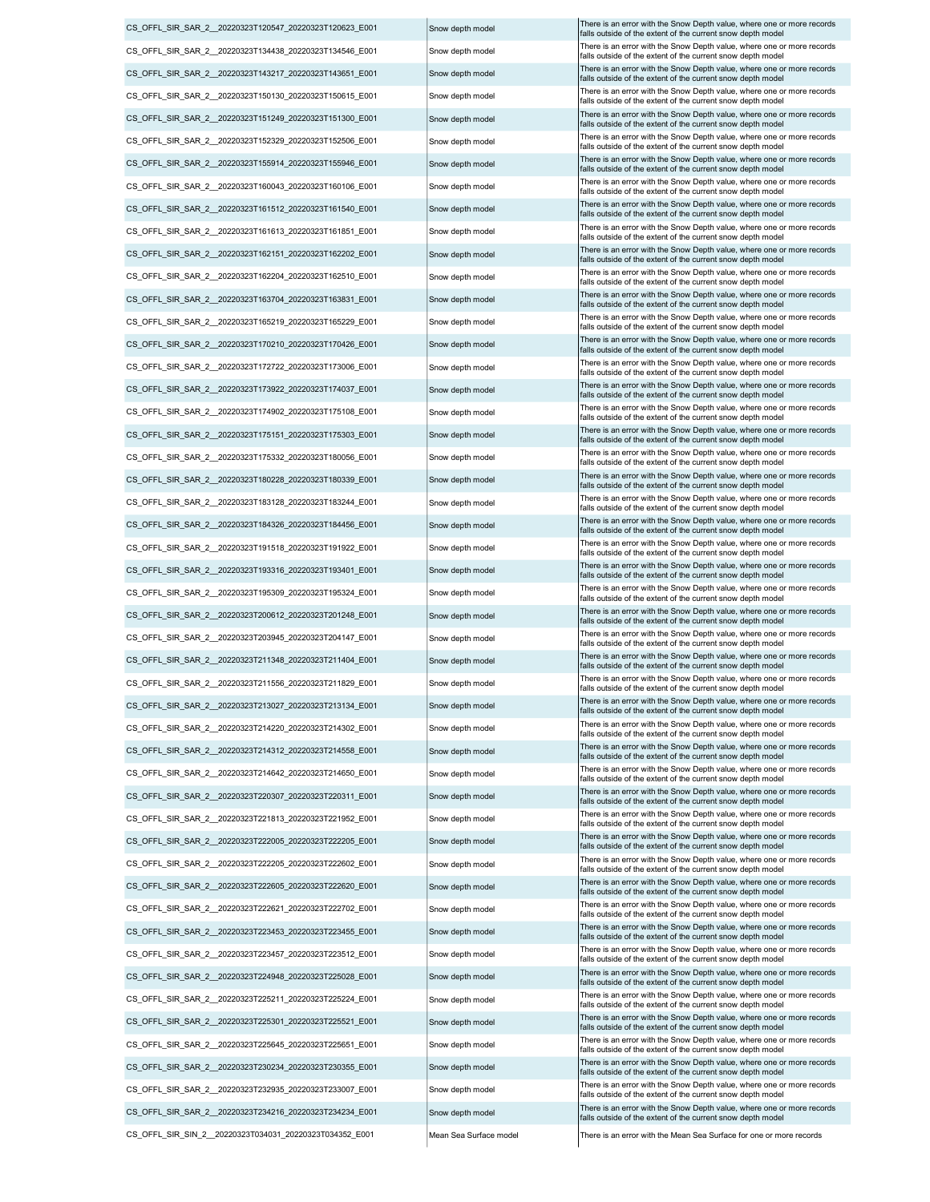CS\_OFFL\_SIR\_SAR\_2\_\_20220323T232935\_20220323T233007\_E001 Snow depth model There is an error with the Snow Depth value, where one or more records Snow Depth value, where one or more records of the current snow depth model CS\_OFFL\_SIR\_SIN\_2 \_20220323T034031\_20220323T034352\_E001 Mean Sea Surface model There is an error with the Mean Sea Surface for one or more records CS\_OFFL\_SIR\_SAR\_2\_\_20220323T234216\_20220323T234234\_E001 Snow depth model There is an error with the Snow Depth value, where one or more records Snow Depth value, where one or more records Snow Depth model falls outside of CS\_OFFL\_SIR\_SAR\_2\_\_20220323T223457\_20220323T223512\_E001 Snow depth model There is an error with the Snow Depth value, where one or more records CS\_OFFL\_SIR\_SAR\_2\_\_20220323T230234\_20220323T230355\_E001 Snow depth model There is an error with the Snow Depth value, where one or more records CS\_OFFL\_SIR\_SAR\_2\_\_20220323T224948\_20220323T225028\_E001 Snow depth model There is an error with the Snow Depth value, where one or more records CS\_OFFL\_SIR\_SAR\_2\_20220323T225211\_20220323T225224\_E001 Snow depth model There is an error with the Snow Depth value, where one or more records CS\_OFFL\_SIR\_SAR\_2\_\_20220323T225301\_20220323T225521\_E001 Snow depth model There is an error with the Snow Depth value, where one or more records CS\_OFFL\_SIR\_SAR\_2\_\_20220323T225645\_20220323T225651\_E001 Snow depth model CS\_OFFL\_SIR\_SAR\_2\_20220323T221813\_20220323T221952\_E001 Snow depth model There is an error with the Snow Depth value, where one or more records CS\_OFFL\_SIR\_SAR\_2\_\_20220323T222205\_20220323T222602\_E001 Snow depth model There is an error with the Snow Depth value, where one or more records Snow Depth value, where one or more records Snow depth model CS\_OFFL\_SIR\_SAR\_2\_\_20220323T222605\_20220323T222620\_E001 Snow depth model There is an error with the Snow Depth value, where one or more records CS\_OFFL\_SIR\_SAR\_2\_\_20220323T222621\_20220323T222702\_E001 Snow depth model There is an error with the Snow Depth value, where one or more records CS\_OFFL\_SIR\_SAR\_2\_\_20220323T223453\_20220323T223455\_E001 Snow depth model There is an error with the Snow Depth value, where one or more records CS\_OFFL\_SIR\_SAR\_2\_\_20220323T222005\_20220323T222205\_E001 Snow depth model There is an error with the Snow Depth value, where one or more records CS\_OFFL\_SIR\_SAR\_2\_\_20220323T211556\_20220323T211829\_E001 Snow depth model There is an error with the Snow Depth value, where one or more records CS\_OFFL\_SIR\_SAR\_2\_\_20220323T220307\_20220323T220307\_00220323T220311\_E001 Snow depth model There is an error with the Snow Depth value, where one or more records CS\_OFFL\_SIR\_SAR\_2\_\_20220323T213027\_20220323T213134\_E001 Snow depth model There is an error with the Snow Depth value, where one or more records CS\_OFFL\_SIR\_SAR\_2\_\_20220323T214220\_20220323T214302\_E001 Snow depth model There is an error with the Snow Depth value, where one or more records Snow Depth value, where one or more records Snow depth model CS\_OFFL\_SIR\_SAR\_2\_\_20220323T214312\_20220323T214558\_E001 Snow depth model There is an error with the Snow Depth value, where one or more records CS\_OFFL\_SIR\_SAR\_2\_20220323T214642\_20220323T214650\_E001 Snow depth model CS\_OFFL\_SIR\_SAR\_2\_\_20220323T191518\_20220323T191922\_E001 Snow depth model There is an error with the Snow Depth value, where one or more records CS\_OFFL\_SIR\_SAR\_2\_\_20220323T195309\_20220323T195324\_E001 Snow depth model There is an error with the Snow Depth value, where one or more records CS\_OFFL\_SIR\_SAR\_2\_20220323T200612\_20220323T201248\_E001 Snow depth model There is an error with the Snow Depth value, where one or more records CS\_OFFL\_SIR\_SAR\_2\_20220323T203945\_20220323T204147\_E001 Snow depth model There is an error with the Snow Depth value, where one or more records CS\_OFFL\_SIR\_SAR\_2\_\_20220323T211348\_20220323T211404\_E001 | Snow depth model CS\_OFFL\_SIR\_SAR\_2\_\_20220323T193316\_20220323T193401\_E001 Snow depth model There is an error with the Snow Depth value, where one or more records CS\_OFFL\_SIR\_SAR\_2\_20220323T165219\_20220323T165229\_E001 Snow depth model There is an error with the Snow Depth value, where one or more records CS\_OFFL\_SIR\_SAR\_2\_\_20220323T170210\_20220323T170426\_E001 Snow depth model There is an error with the Snow Depth value, where one or more records CS\_OFFL\_SIR\_SAR\_2\_02020323T172722\_20220323T173006\_E001 Snow depth model There is an error with the Snow Depth value, where one or more records CS\_OFFL\_SIR\_SAR\_2\_\_20220323T173922\_20220323T174037\_E001 Snow depth model There is an error with the Snow Depth value, where one or more records CS\_OFFL\_SIR\_SAR\_2\_\_20220323T174902\_20220323T175108\_E001 Snow depth model There is an error with the Snow Depth value, where one or more records CS\_OFFL\_SIR\_SAR\_2\_\_20220323T184326\_20220323T184456\_E001 Snow depth model There is an error with the Snow Depth value, where one or more records CS\_OFFL\_SIR\_SAR\_2\_\_20220323T175151\_20220323T175303\_E001 Snow depth model There is an error with the Snow Depth value, where one or more records CS\_OFFL\_SIR\_SAR\_2\_20220323T175332\_20220323T180056\_E001 Snow depth model There is an error with the Snow Depth value, where one or more records CS\_OFFL\_SIR\_SAR\_2\_\_20220323T180228\_20220323T180339\_E001 Snow depth model There is an error with the Snow Depth value, where one or more records CS\_OFFL\_SIR\_SAR\_2\_20220323T183128\_20220323T183244\_E001 Snow depth model CS\_OFFL\_SIR\_SAR\_2\_\_20220323T155914\_20220323T155946\_E001 Snow depth model There is an error with the Snow Depth value, where one or more records CS\_OFFL\_SIR\_SAR\_2\_20220323T160043\_20220323T160106\_E001 Snow depth model There is an error with the Snow Depth value, where one or more records CS\_OFFL\_SIR\_SAR\_2\_\_20220323T161512\_20220323T161540\_E001 Snow depth model There is an error with the Snow Depth value, where one or more records CS\_OFFL\_SIR\_SAR\_2\_\_20220323T161613\_20220323T161613\_0220323T161851\_E001 Snow depth model There is an error with the Snow Depth value, where one or more records CS\_OFFL\_SIR\_SAR\_2\_\_20220323T162151\_20220323T162202\_E001 Snow depth model There is an error with the Snow Depth value, where one or more records CS\_OFFL\_SIR\_SAR\_2\_\_20220323T162204\_20220323T162510\_E001 Snow depth model There is an error with the Snow Depth value, where one or more records CS\_OFFL\_SIR\_SAR\_2\_\_20220323T163704\_20220323T163831\_E001 Snow depth model There is an error with the Snow Depth value, where one or more records CS\_OFFL\_SIR\_SAR\_2\_20220323T134438\_20220323T134546\_E001 Snow depth model There is an error with the Snow Depth value, where one or more records CS\_OFFL\_SIR\_SAR\_2\_\_20220323T143217\_20220323T143651\_E001 Snow depth model There is an error with the Snow Depth value, where one or more records CS\_OFFL\_SIR\_SAR\_2\_20220323T150130\_20220323T150615\_E001 Snow depth model There is an error with the Snow Depth value, where one or more records CS\_OFFL\_SIR\_SAR\_2\_\_20220323T151249\_20220323T151300\_E001 Snow depth model There is an error with the Snow Depth value, where one or more records CS\_OFFL\_SIR\_SAR\_2\_20220323T152329\_20220323T152506\_E001 Snow depth model There is an error with the Snow Depth value, where one or more records

falls outside of the extent of the current snow depth mode There is an error with the Snow Depth value, where one or more records falls outside of the extent of the current snow depth model falls outside of the extent of the current snow depth model falls outside of the extent of the current snow depth mode falls outside of the extent of the current snow depth mode falls outside of the extent of the current snow depth model falls outside of the extent of the current snow depth model falls outside of the extent of the current snow depth model falls outside of the extent of the current snow depth mode falls outside of the extent of the current snow depth mode falls outside of the extent of the current snow depth mode falls outside of the extent of the current snow depth mode There is an error with the Snow Depth value, where one or mo falls outside of the extent of the current snow depth model falls outside of the extent of the current snow depth mode falls outside of the extent of the current snow depth model falls outside of the extent of the current snow depth model falls outside of the extent of the current snow depth model falls outside of the extent of the current snow depth mode falls outside of the extent of the current snow depth mode falls outside of the extent of the current snow depth model<br>There is an error with the Snow Depth value, where one or more records falls outside of the extent of the current snow depth model falls outside of the extent of the current snow depth model falls outside of the extent of the current snow depth model falls outside of the extent of the current snow depth model falls outside of the extent of the current snow depth mode falls outside of the extent of the current snow depth model falls outside of the extent of the current snow depth mode There is an error with the Snow Depth value, where one or more records falls outside of the extent of the current snow depth model falls outside of the extent of the current snow depth mode falls outside of the extent of the current snow depth mode falls outside of the extent of the current snow depth model falls outside of the extent of the current snow depth model falls outside of the extent of the current snow depth mod falls outside of the extent of the current snow depth mode falls outside of the extent of the current snow depth model falls outside of the extent of the current snow depth model falls outside of the extent of the current snow depth mode falls outside of the extent of the current snow depth mode falls outside of the extent of the current snow depth mod CS\_OFFL\_SIR\_SAR\_2\_\_20220323T120547\_20220323T120623\_E001 Snow depth model There is an error with the Snow Depth value, where one or more records falls outside of the extent of the current snow depth mode falls outside of the extent of the current snow depth model falls outside of the extent of the current snow depth model falls outside of the extent of the current snow depth model falls outside of the extent of the current snow depth model falls outside of the extent of the current snow depth mode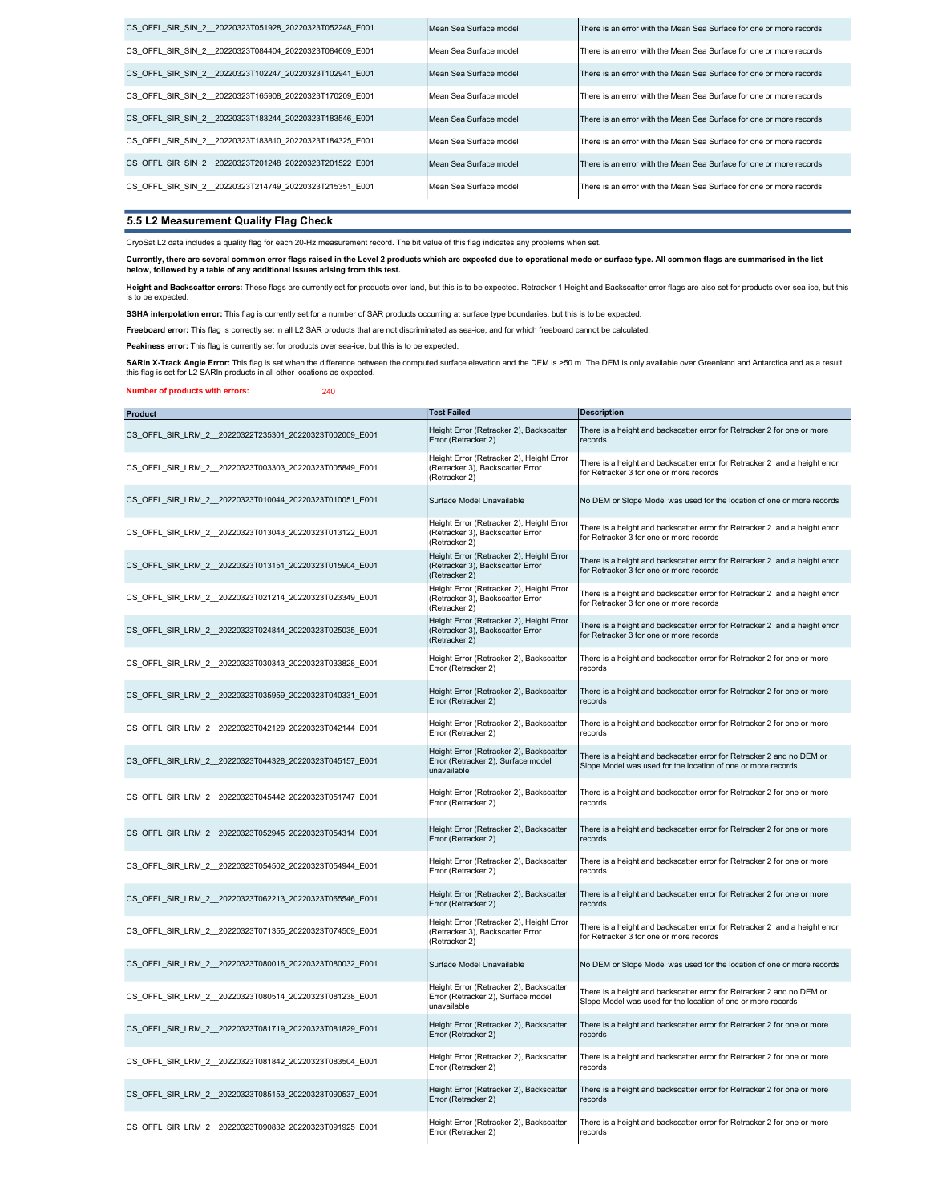| CS OFFL SIR SIN 2 20220323T051928 20220323T052248 E001 | Mean Sea Surface model | There is an error with the Mean Sea Surface for one or more records |
|--------------------------------------------------------|------------------------|---------------------------------------------------------------------|
| CS OFFL SIR SIN 2 20220323T084404 20220323T084609 E001 | Mean Sea Surface model | There is an error with the Mean Sea Surface for one or more records |
| CS OFFL SIR SIN 2 20220323T102247 20220323T102941 E001 | Mean Sea Surface model | There is an error with the Mean Sea Surface for one or more records |
| CS OFFL SIR SIN 2 20220323T165908 20220323T170209 E001 | Mean Sea Surface model | There is an error with the Mean Sea Surface for one or more records |
| CS OFFL SIR SIN 2 20220323T183244 20220323T183546 E001 | Mean Sea Surface model | There is an error with the Mean Sea Surface for one or more records |
| CS OFFL SIR SIN 2 20220323T183810 20220323T184325 E001 | Mean Sea Surface model | There is an error with the Mean Sea Surface for one or more records |
| CS OFFL SIR SIN 2 20220323T201248 20220323T201522 E001 | Mean Sea Surface model | There is an error with the Mean Sea Surface for one or more records |
| CS OFFL SIR SIN 2 20220323T214749 20220323T215351 E001 | Mean Sea Surface model | There is an error with the Mean Sea Surface for one or more records |

#### 5.5 L2 Measurement Quality Flag Check

CryoSat L2 data includes a quality flag for each 20-Hz measurement record. The bit value of this flag indicates any problems when set.

Currently, there are several common error flags raised in the Level 2 products which are expected due to operational mode or surface type. All common flags are summarised in the list<br>below, followed by a table of any addit

**Height and Backscatter errors:** These flags are currently set for products over land, but this is to be expected. Retracker 1 Height and Backscatter error flags are also set for products over sea-ice, but this<br>is to be ex

SSHA interpolation error: This flag is currently set for a number of SAR products occurring at surface type boundaries, but this is to be expected.

Freeboard error: This flag is correctly set in all L2 SAR products that are not discriminated as sea-ice, and for which freeboard cannot be calculated.

Peakiness error: This flag is currently set for products over sea-ice, but this is to be expected.

**SARIn X-Track Angle Error**: This flag is set when the difference between the computed surface elevation and the DEM is >50 m. The DEM is only available over Greenland and Antarctica and as a result<br>this flag is set for L2

Number of products with errors: 240

| <b>Product</b>                                         | <b>Test Failed</b>                                                                            | <b>Description</b>                                                                                                                    |
|--------------------------------------------------------|-----------------------------------------------------------------------------------------------|---------------------------------------------------------------------------------------------------------------------------------------|
| CS OFFL SIR LRM 2 20220322T235301 20220323T002009 E001 | Height Error (Retracker 2), Backscatter<br>Error (Retracker 2)                                | There is a height and backscatter error for Retracker 2 for one or more<br>records                                                    |
| CS OFFL SIR LRM 2 20220323T003303 20220323T005849 E001 | Height Error (Retracker 2), Height Error<br>(Retracker 3), Backscatter Error<br>(Retracker 2) | There is a height and backscatter error for Retracker 2 and a height error<br>for Retracker 3 for one or more records                 |
| CS OFFL SIR LRM 2 20220323T010044 20220323T010051 E001 | Surface Model Unavailable                                                                     | No DEM or Slope Model was used for the location of one or more records                                                                |
| CS OFFL SIR LRM 2 20220323T013043 20220323T013122 E001 | Height Error (Retracker 2), Height Error<br>(Retracker 3), Backscatter Error<br>(Retracker 2) | There is a height and backscatter error for Retracker 2 and a height error<br>for Retracker 3 for one or more records                 |
| CS OFFL SIR LRM 2 20220323T013151 20220323T015904 E001 | Height Error (Retracker 2), Height Error<br>(Retracker 3), Backscatter Error<br>(Retracker 2) | There is a height and backscatter error for Retracker 2 and a height error<br>for Retracker 3 for one or more records                 |
| CS OFFL SIR LRM 2 20220323T021214 20220323T023349 E001 | Height Error (Retracker 2), Height Error<br>(Retracker 3), Backscatter Error<br>(Retracker 2) | There is a height and backscatter error for Retracker 2 and a height error<br>for Retracker 3 for one or more records                 |
| CS OFFL SIR LRM 2 20220323T024844 20220323T025035 E001 | Height Error (Retracker 2), Height Error<br>(Retracker 3), Backscatter Error<br>(Retracker 2) | There is a height and backscatter error for Retracker 2 and a height error<br>for Retracker 3 for one or more records                 |
| CS OFFL SIR LRM 2 20220323T030343 20220323T033828 E001 | Height Error (Retracker 2), Backscatter<br>Error (Retracker 2)                                | There is a height and backscatter error for Retracker 2 for one or more<br>records                                                    |
| CS OFFL SIR LRM 2 20220323T035959 20220323T040331 E001 | Height Error (Retracker 2), Backscatter<br>Error (Retracker 2)                                | There is a height and backscatter error for Retracker 2 for one or more<br>records                                                    |
| CS OFFL SIR LRM 2 20220323T042129 20220323T042144 E001 | Height Error (Retracker 2), Backscatter<br>Error (Retracker 2)                                | There is a height and backscatter error for Retracker 2 for one or more<br>records                                                    |
| CS OFFL SIR LRM 2 20220323T044328 20220323T045157 E001 | Height Error (Retracker 2), Backscatter<br>Error (Retracker 2), Surface model<br>unavailable  | There is a height and backscatter error for Retracker 2 and no DEM or<br>Slope Model was used for the location of one or more records |
| CS OFFL SIR LRM 2 20220323T045442 20220323T051747 E001 | Height Error (Retracker 2), Backscatter<br>Error (Retracker 2)                                | There is a height and backscatter error for Retracker 2 for one or more<br>records                                                    |
| CS OFFL SIR LRM 2 20220323T052945 20220323T054314 E001 | Height Error (Retracker 2), Backscatter<br>Error (Retracker 2)                                | There is a height and backscatter error for Retracker 2 for one or more<br>records                                                    |
| CS OFFL SIR LRM 2 20220323T054502 20220323T054944 E001 | Height Error (Retracker 2), Backscatter<br>Error (Retracker 2)                                | There is a height and backscatter error for Retracker 2 for one or more<br>records                                                    |
| CS OFFL SIR LRM 2 20220323T062213 20220323T065546 E001 | Height Error (Retracker 2), Backscatter<br>Error (Retracker 2)                                | There is a height and backscatter error for Retracker 2 for one or more<br>records                                                    |
| CS OFFL SIR LRM 2 20220323T071355 20220323T074509 E001 | Height Error (Retracker 2), Height Error<br>(Retracker 3), Backscatter Error<br>(Retracker 2) | There is a height and backscatter error for Retracker 2 and a height error<br>for Retracker 3 for one or more records                 |
| CS OFFL SIR LRM 2 20220323T080016 20220323T080032 E001 | Surface Model Unavailable                                                                     | No DEM or Slope Model was used for the location of one or more records                                                                |
| CS OFFL SIR LRM 2 20220323T080514 20220323T081238 E001 | Height Error (Retracker 2), Backscatter<br>Error (Retracker 2), Surface model<br>unavailable  | There is a height and backscatter error for Retracker 2 and no DEM or<br>Slope Model was used for the location of one or more records |
| CS OFFL SIR LRM 2 20220323T081719 20220323T081829 E001 | Height Error (Retracker 2), Backscatter<br>Error (Retracker 2)                                | There is a height and backscatter error for Retracker 2 for one or more<br>records                                                    |
| CS_OFFL_SIR_LRM_2_20220323T081842_20220323T083504_E001 | Height Error (Retracker 2), Backscatter<br>Error (Retracker 2)                                | There is a height and backscatter error for Retracker 2 for one or more<br>records                                                    |
| CS OFFL SIR LRM 2 20220323T085153 20220323T090537 E001 | Height Error (Retracker 2), Backscatter<br>Error (Retracker 2)                                | There is a height and backscatter error for Retracker 2 for one or more<br>records                                                    |
| CS OFFL SIR LRM 2 20220323T090832 20220323T091925 E001 | Height Error (Retracker 2), Backscatter<br>Error (Retracker 2)                                | There is a height and backscatter error for Retracker 2 for one or more<br>records                                                    |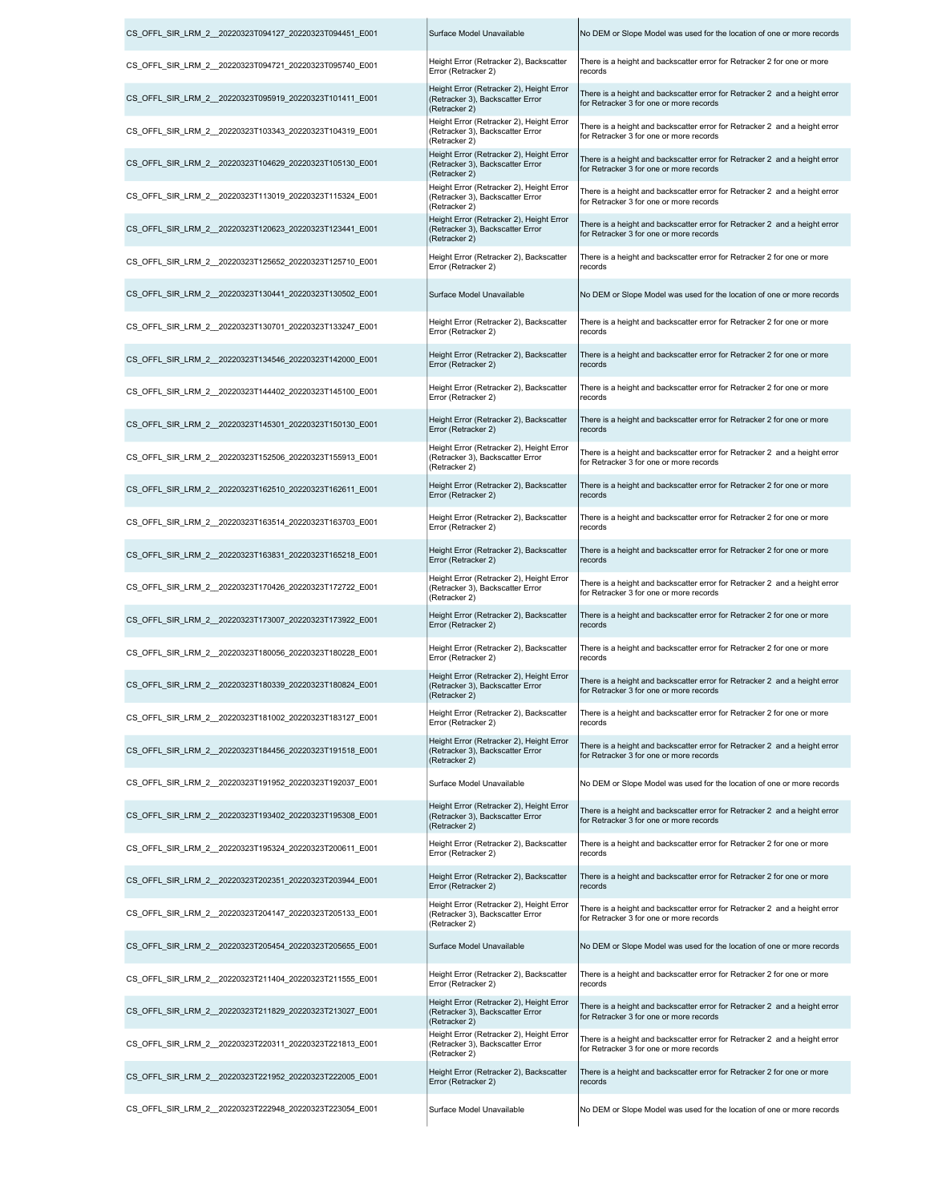|                                                        | Surface Model Unavailable                                                                     | No DEM or Slope Model was used for the location of one or more records                                                |
|--------------------------------------------------------|-----------------------------------------------------------------------------------------------|-----------------------------------------------------------------------------------------------------------------------|
| CS OFFL SIR LRM 2 20220323T094721 20220323T095740 E001 | Height Error (Retracker 2), Backscatter<br>Error (Retracker 2)                                | There is a height and backscatter error for Retracker 2 for one or more<br>records                                    |
| CS OFFL SIR LRM 2 20220323T095919 20220323T101411 E001 | Height Error (Retracker 2), Height Error<br>(Retracker 3), Backscatter Error<br>(Retracker 2) | There is a height and backscatter error for Retracker 2 and a height error<br>for Retracker 3 for one or more records |
| CS OFFL SIR LRM 2 20220323T103343 20220323T104319 E001 | Height Error (Retracker 2), Height Error<br>(Retracker 3), Backscatter Error<br>(Retracker 2) | There is a height and backscatter error for Retracker 2 and a height error<br>for Retracker 3 for one or more records |
| CS OFFL SIR LRM 2 20220323T104629 20220323T105130 E001 | Height Error (Retracker 2), Height Error<br>(Retracker 3), Backscatter Error<br>(Retracker 2) | There is a height and backscatter error for Retracker 2 and a height error<br>for Retracker 3 for one or more records |
| CS OFFL SIR LRM 2 20220323T113019 20220323T115324 E001 | Height Error (Retracker 2), Height Error<br>(Retracker 3), Backscatter Error<br>(Retracker 2) | There is a height and backscatter error for Retracker 2 and a height error<br>for Retracker 3 for one or more records |
| CS OFFL SIR LRM 2 20220323T120623 20220323T123441 E001 | Height Error (Retracker 2), Height Error<br>(Retracker 3), Backscatter Error<br>(Retracker 2) | There is a height and backscatter error for Retracker 2 and a height error<br>for Retracker 3 for one or more records |
| CS OFFL SIR LRM 2 20220323T125652 20220323T125710 E001 | Height Error (Retracker 2), Backscatter<br>Error (Retracker 2)                                | There is a height and backscatter error for Retracker 2 for one or more<br>records                                    |
| CS OFFL SIR LRM 2 20220323T130441 20220323T130502 E001 | Surface Model Unavailable                                                                     | No DEM or Slope Model was used for the location of one or more records                                                |
| CS_OFFL_SIR_LRM_2_20220323T130701_20220323T133247_E001 | Height Error (Retracker 2), Backscatter<br>Error (Retracker 2)                                | There is a height and backscatter error for Retracker 2 for one or more<br>records                                    |
| CS OFFL SIR LRM 2 20220323T134546 20220323T142000 E001 | Height Error (Retracker 2), Backscatter<br>Error (Retracker 2)                                | There is a height and backscatter error for Retracker 2 for one or more<br>records                                    |
| CS OFFL SIR LRM 2 20220323T144402 20220323T145100 E001 | Height Error (Retracker 2), Backscatter<br>Error (Retracker 2)                                | There is a height and backscatter error for Retracker 2 for one or more<br>records                                    |
| CS OFFL SIR LRM 2 20220323T145301 20220323T150130 E001 | Height Error (Retracker 2), Backscatter<br>Error (Retracker 2)                                | There is a height and backscatter error for Retracker 2 for one or more<br>records                                    |
| CS OFFL SIR LRM 2 20220323T152506 20220323T155913 E001 | Height Error (Retracker 2), Height Error<br>(Retracker 3), Backscatter Error<br>(Retracker 2) | There is a height and backscatter error for Retracker 2 and a height error<br>for Retracker 3 for one or more records |
| CS OFFL SIR LRM 2 20220323T162510 20220323T162611 E001 | Height Error (Retracker 2), Backscatter<br>Error (Retracker 2)                                | There is a height and backscatter error for Retracker 2 for one or more<br>records                                    |
| CS_OFFL_SIR_LRM_2_20220323T163514_20220323T163703_E001 | Height Error (Retracker 2), Backscatter<br>Error (Retracker 2)                                | There is a height and backscatter error for Retracker 2 for one or more<br>records                                    |
| CS OFFL SIR LRM 2 20220323T163831 20220323T165218 E001 | Height Error (Retracker 2), Backscatter<br>Error (Retracker 2)                                | There is a height and backscatter error for Retracker 2 for one or more<br>records                                    |
| CS_OFFL_SIR_LRM_2_20220323T170426_20220323T172722_E001 | Height Error (Retracker 2), Height Error<br>(Retracker 3), Backscatter Error                  | There is a height and backscatter error for Retracker 2 and a height error                                            |
|                                                        | (Retracker 2)                                                                                 | for Retracker 3 for one or more records                                                                               |
| CS OFFL SIR LRM 2 20220323T173007 20220323T173922 E001 | Height Error (Retracker 2), Backscatter<br>Error (Retracker 2)                                | There is a height and backscatter error for Retracker 2 for one or more<br>records                                    |
| CS OFFL SIR LRM 2 20220323T180056 20220323T180228 E001 | Height Error (Retracker 2), Backscatter<br>Error (Retracker 2)                                | There is a height and backscatter error for Retracker 2 for one or more<br>records                                    |
| CS OFFL SIR LRM 2 20220323T180339 20220323T180824 E001 | Height Error (Retracker 2), Height Error<br>(Retracker 3), Backscatter Error<br>(Retracker 2) | There is a height and backscatter error for Retracker 2 and a height error<br>for Retracker 3 for one or more records |
| CS_OFFL_SIR_LRM_2_20220323T181002_20220323T183127_E001 | Height Error (Retracker 2), Backscatter<br>Error (Retracker 2)                                | There is a height and backscatter error for Retracker 2 for one or more<br>records                                    |
| CS OFFL SIR LRM 2 20220323T184456 20220323T191518 E001 | Height Error (Retracker 2), Height Error<br>(Retracker 3), Backscatter Error<br>(Retracker 2) | There is a height and backscatter error for Retracker 2 and a height error<br>for Retracker 3 for one or more records |
| CS OFFL SIR LRM 2 20220323T191952 20220323T192037 E001 | Surface Model Unavailable                                                                     | No DEM or Slope Model was used for the location of one or more records                                                |
| CS OFFL SIR LRM 2 20220323T193402 20220323T195308 E001 | Height Error (Retracker 2), Height Error<br>(Retracker 3), Backscatter Error<br>(Retracker 2) | There is a height and backscatter error for Retracker 2 and a height error<br>for Retracker 3 for one or more records |
| CS OFFL SIR LRM 2 20220323T195324 20220323T200611 E001 | Height Error (Retracker 2), Backscatter<br>Error (Retracker 2)                                | There is a height and backscatter error for Retracker 2 for one or more<br>records                                    |
| CS OFFL SIR LRM 2 20220323T202351 20220323T203944 E001 | Height Error (Retracker 2), Backscatter<br>Error (Retracker 2)                                | There is a height and backscatter error for Retracker 2 for one or more<br>records                                    |
| CS_OFFL_SIR_LRM_2_20220323T204147_20220323T205133_E001 | Height Error (Retracker 2), Height Error<br>(Retracker 3), Backscatter Error<br>(Retracker 2) | There is a height and backscatter error for Retracker 2 and a height error<br>for Retracker 3 for one or more records |
| CS OFFL SIR LRM 2 20220323T205454 20220323T205655 E001 | Surface Model Unavailable                                                                     | No DEM or Slope Model was used for the location of one or more records                                                |
| CS_OFFL_SIR_LRM_2_20220323T211404_20220323T211555_E001 | Height Error (Retracker 2), Backscatter<br>Error (Retracker 2)                                | There is a height and backscatter error for Retracker 2 for one or more<br>records                                    |
| CS OFFL SIR LRM 2 20220323T211829 20220323T213027 E001 | Height Error (Retracker 2), Height Error<br>(Retracker 3), Backscatter Error<br>(Retracker 2) | There is a height and backscatter error for Retracker 2 and a height error<br>for Retracker 3 for one or more records |
| CS OFFL SIR LRM 2 20220323T220311 20220323T221813 E001 | Height Error (Retracker 2), Height Error<br>(Retracker 3), Backscatter Error<br>(Retracker 2) | There is a height and backscatter error for Retracker 2 and a height error<br>for Retracker 3 for one or more records |
| CS OFFL SIR LRM 2 20220323T221952 20220323T222005 E001 | Height Error (Retracker 2), Backscatter<br>Error (Retracker 2)                                | There is a height and backscatter error for Retracker 2 for one or more<br>records                                    |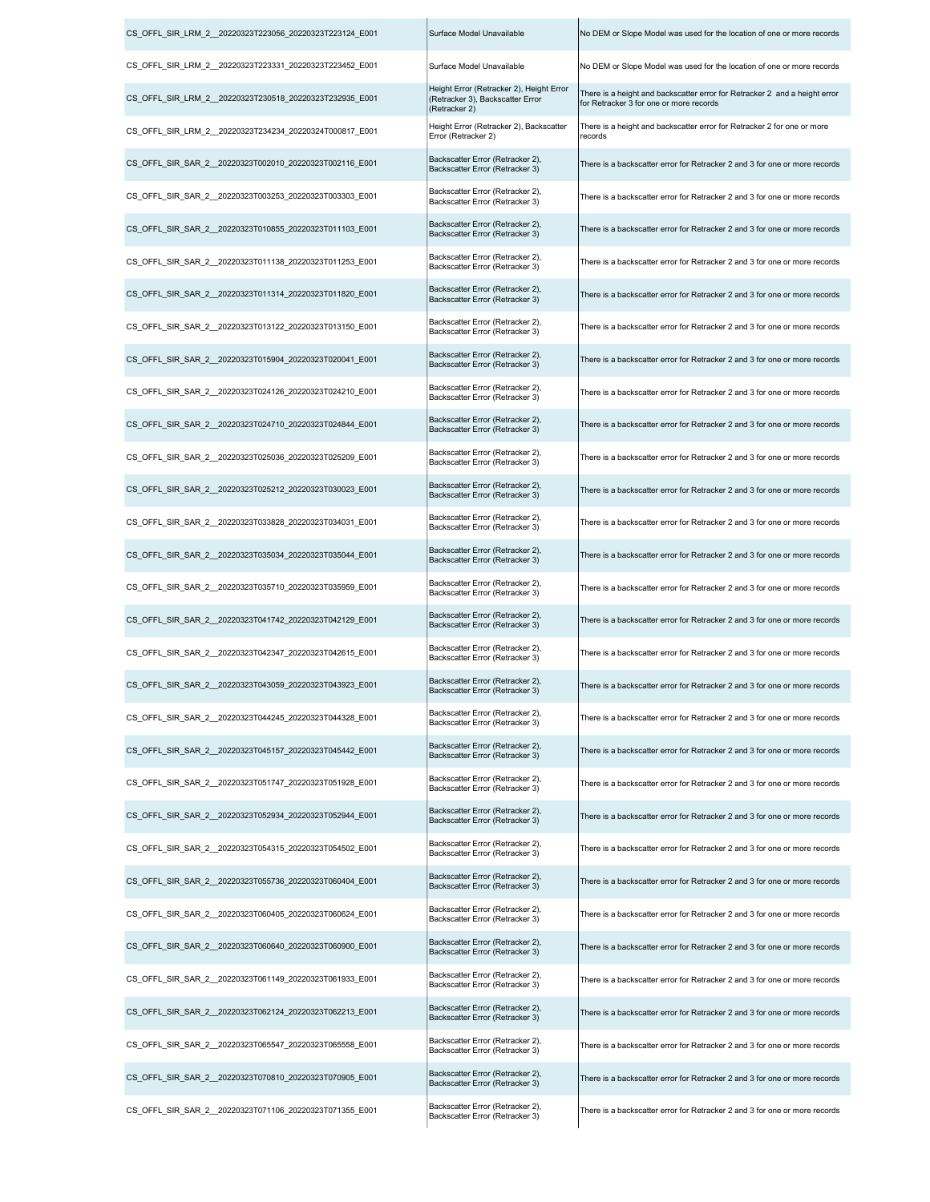| CS_OFFL_SIR_LRM_2__20220323T223056_20220323T223124_E001 | Surface Model Unavailable                                                                     | No DEM or Slope Model was used for the location of one or more records                                                |
|---------------------------------------------------------|-----------------------------------------------------------------------------------------------|-----------------------------------------------------------------------------------------------------------------------|
| CS OFFL SIR LRM 2 20220323T223331 20220323T223452 E001  | Surface Model Unavailable                                                                     | No DEM or Slope Model was used for the location of one or more records                                                |
| CS OFFL SIR LRM 2 20220323T230518 20220323T232935 E001  | Height Error (Retracker 2), Height Error<br>(Retracker 3), Backscatter Error<br>(Retracker 2) | There is a height and backscatter error for Retracker 2 and a height error<br>for Retracker 3 for one or more records |
| CS OFFL SIR LRM 2 20220323T234234 20220324T000817 E001  | Height Error (Retracker 2), Backscatter<br>Error (Retracker 2)                                | There is a height and backscatter error for Retracker 2 for one or more<br>records                                    |
| CS OFFL SIR SAR 2 20220323T002010 20220323T002116 E001  | Backscatter Error (Retracker 2),<br>Backscatter Error (Retracker 3)                           | There is a backscatter error for Retracker 2 and 3 for one or more records                                            |
| CS OFFL SIR SAR 2 20220323T003253 20220323T003303 E001  | Backscatter Error (Retracker 2),<br>Backscatter Error (Retracker 3)                           | There is a backscatter error for Retracker 2 and 3 for one or more records                                            |
| CS_OFFL_SIR_SAR_2__20220323T010855_20220323T011103_E001 | Backscatter Error (Retracker 2),<br>Backscatter Error (Retracker 3)                           | There is a backscatter error for Retracker 2 and 3 for one or more records                                            |
| CS OFFL SIR SAR 2 20220323T011138 20220323T011253 E001  | Backscatter Error (Retracker 2),<br>Backscatter Error (Retracker 3)                           | There is a backscatter error for Retracker 2 and 3 for one or more records                                            |
| CS OFFL SIR SAR 2 20220323T011314 20220323T011820 E001  | Backscatter Error (Retracker 2),<br>Backscatter Error (Retracker 3)                           | There is a backscatter error for Retracker 2 and 3 for one or more records                                            |
| CS_OFFL_SIR_SAR_2__20220323T013122_20220323T013150_E001 | Backscatter Error (Retracker 2),<br>Backscatter Error (Retracker 3)                           | There is a backscatter error for Retracker 2 and 3 for one or more records                                            |
| CS OFFL SIR SAR 2 20220323T015904 20220323T020041 E001  | Backscatter Error (Retracker 2),<br>Backscatter Error (Retracker 3)                           | There is a backscatter error for Retracker 2 and 3 for one or more records                                            |
| CS_OFFL_SIR_SAR_2__20220323T024126_20220323T024210_E001 | Backscatter Error (Retracker 2),<br>Backscatter Error (Retracker 3)                           | There is a backscatter error for Retracker 2 and 3 for one or more records                                            |
| CS_OFFL_SIR_SAR_2__20220323T024710_20220323T024844_E001 | Backscatter Error (Retracker 2),<br>Backscatter Error (Retracker 3)                           | There is a backscatter error for Retracker 2 and 3 for one or more records                                            |
| CS OFFL SIR SAR 2 20220323T025036 20220323T025209 E001  | Backscatter Error (Retracker 2),<br>Backscatter Error (Retracker 3)                           | There is a backscatter error for Retracker 2 and 3 for one or more records                                            |
| CS OFFL SIR SAR 2 20220323T025212 20220323T030023 E001  | Backscatter Error (Retracker 2),<br>Backscatter Error (Retracker 3)                           | There is a backscatter error for Retracker 2 and 3 for one or more records                                            |
| CS_OFFL_SIR_SAR_2__20220323T033828_20220323T034031_E001 | Backscatter Error (Retracker 2),<br>Backscatter Error (Retracker 3)                           | There is a backscatter error for Retracker 2 and 3 for one or more records                                            |
| CS_OFFL_SIR_SAR_2_20220323T035034_20220323T035044_E001  | Backscatter Error (Retracker 2),<br>Backscatter Error (Retracker 3)                           | There is a backscatter error for Retracker 2 and 3 for one or more records                                            |
| CS OFFL SIR SAR 2 20220323T035710 20220323T035959 E001  | Backscatter Error (Retracker 2),<br>Backscatter Error (Retracker 3)                           | There is a backscatter error for Retracker 2 and 3 for one or more records                                            |
| CS OFFL SIR SAR 2 20220323T041742 20220323T042129 E001  | Backscatter Error (Retracker 2),<br>Backscatter Error (Retracker 3)                           | There is a backscatter error for Retracker 2 and 3 for one or more records                                            |
| CS_OFFL_SIR_SAR_2__20220323T042347_20220323T042615_E001 | Backscatter Error (Retracker 2),<br>Backscatter Error (Retracker 3)                           | There is a backscatter error for Retracker 2 and 3 for one or more records                                            |
| CS OFFL SIR SAR 2 20220323T043059 20220323T043923 E001  | Backscatter Error (Retracker 2),<br>Backscatter Error (Retracker 3)                           | There is a backscatter error for Retracker 2 and 3 for one or more records                                            |
| CS OFFL SIR SAR 2 20220323T044245 20220323T044328 E001  | Backscatter Error (Retracker 2),<br>Backscatter Error (Retracker 3)                           | There is a backscatter error for Retracker 2 and 3 for one or more records                                            |
| CS OFFL SIR SAR 2 20220323T045157 20220323T045442 E001  | Backscatter Error (Retracker 2),<br>Backscatter Error (Retracker 3)                           | There is a backscatter error for Retracker 2 and 3 for one or more records                                            |
| CS OFFL SIR SAR 2 20220323T051747 20220323T051928 E001  | Backscatter Error (Retracker 2),<br>Backscatter Error (Retracker 3)                           | There is a backscatter error for Retracker 2 and 3 for one or more records                                            |
| CS OFFL SIR SAR 2 20220323T052934 20220323T052944 E001  | Backscatter Error (Retracker 2),<br>Backscatter Error (Retracker 3)                           | There is a backscatter error for Retracker 2 and 3 for one or more records                                            |
| CS OFFL SIR SAR 2 20220323T054315 20220323T054502 E001  | Backscatter Error (Retracker 2),<br>Backscatter Error (Retracker 3)                           | There is a backscatter error for Retracker 2 and 3 for one or more records                                            |
| CS OFFL SIR SAR 2 20220323T055736 20220323T060404 E001  | Backscatter Error (Retracker 2),<br>Backscatter Error (Retracker 3)                           | There is a backscatter error for Retracker 2 and 3 for one or more records                                            |
| CS_OFFL_SIR_SAR_2__20220323T060405_20220323T060624_E001 | Backscatter Error (Retracker 2),<br>Backscatter Error (Retracker 3)                           | There is a backscatter error for Retracker 2 and 3 for one or more records                                            |
| CS OFFL SIR SAR 2 20220323T060640 20220323T060900 E001  | Backscatter Error (Retracker 2),<br>Backscatter Error (Retracker 3)                           | There is a backscatter error for Retracker 2 and 3 for one or more records                                            |
| CS OFFL SIR SAR 2 20220323T061149 20220323T061933 E001  | Backscatter Error (Retracker 2),<br>Backscatter Error (Retracker 3)                           | There is a backscatter error for Retracker 2 and 3 for one or more records                                            |
| CS OFFL SIR SAR 2 20220323T062124 20220323T062213 E001  | Backscatter Error (Retracker 2),<br>Backscatter Error (Retracker 3)                           | There is a backscatter error for Retracker 2 and 3 for one or more records                                            |
| CS OFFL SIR SAR 2 20220323T065547 20220323T065558 E001  | Backscatter Error (Retracker 2),<br>Backscatter Error (Retracker 3)                           | There is a backscatter error for Retracker 2 and 3 for one or more records                                            |
| CS OFFL SIR SAR 2 20220323T070810 20220323T070905 E001  | Backscatter Error (Retracker 2),<br>Backscatter Error (Retracker 3)                           | There is a backscatter error for Retracker 2 and 3 for one or more records                                            |
| CS_OFFL_SIR_SAR_2_20220323T071106_20220323T071355_E001  | Backscatter Error (Retracker 2),<br>Backscatter Error (Retracker 3)                           | There is a backscatter error for Retracker 2 and 3 for one or more records                                            |

 $\mathbf{I}$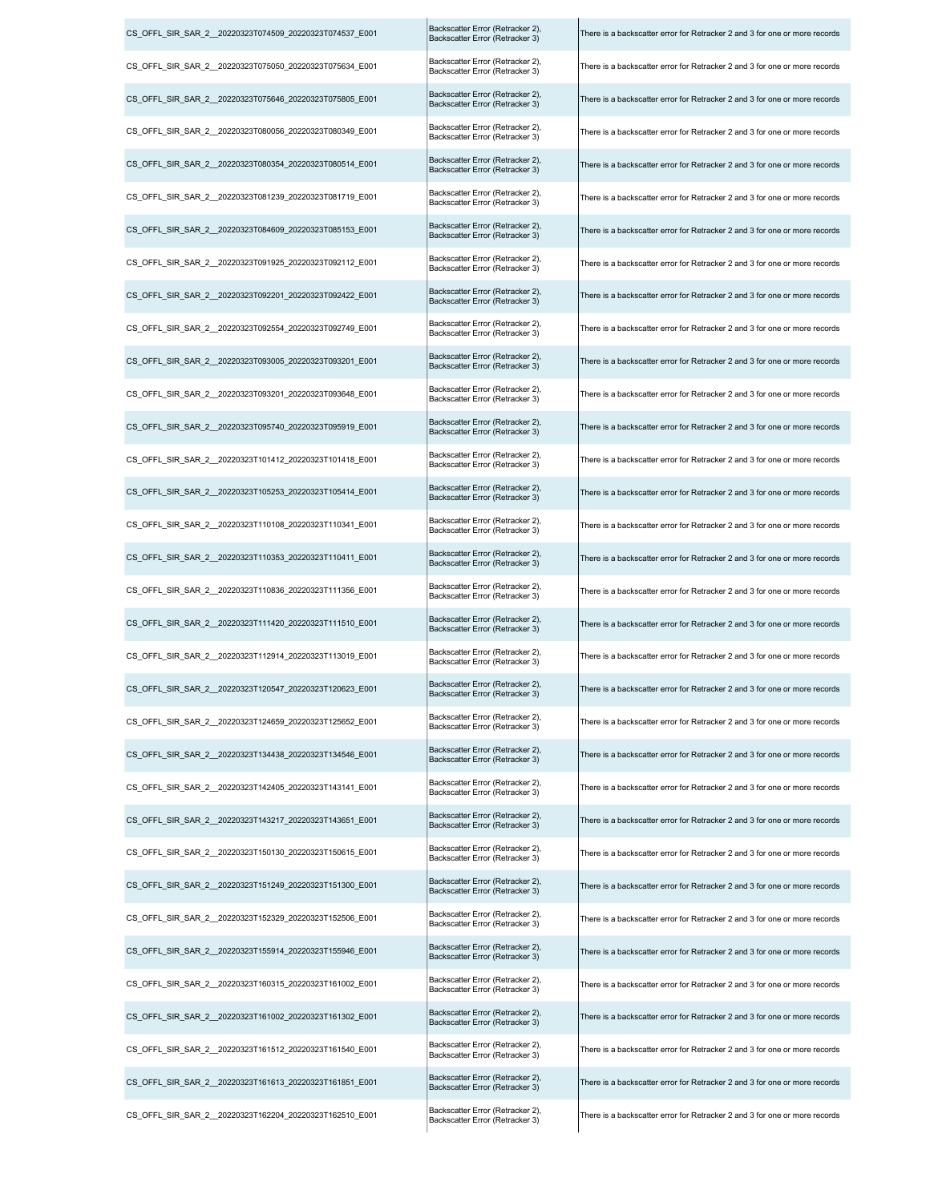| CS_OFFL_SIR_SAR_2_20220323T074509_20220323T074537_E001  | Backscatter Error (Retracker 2),<br>Backscatter Error (Retracker 3) | There is a backscatter error for Retracker 2 and 3 for one or more records |
|---------------------------------------------------------|---------------------------------------------------------------------|----------------------------------------------------------------------------|
| CS_OFFL_SIR_SAR_2__20220323T075050_20220323T075634_E001 | Backscatter Error (Retracker 2),<br>Backscatter Error (Retracker 3) | There is a backscatter error for Retracker 2 and 3 for one or more records |
| CS_OFFL_SIR_SAR_2_20220323T075646_20220323T075805_E001  | Backscatter Error (Retracker 2),<br>Backscatter Error (Retracker 3) | There is a backscatter error for Retracker 2 and 3 for one or more records |
| CS_OFFL_SIR_SAR_2__20220323T080056_20220323T080349_E001 | Backscatter Error (Retracker 2),<br>Backscatter Error (Retracker 3) | There is a backscatter error for Retracker 2 and 3 for one or more records |
| CS_OFFL_SIR_SAR_2_20220323T080354_20220323T080514_E001  | Backscatter Error (Retracker 2),<br>Backscatter Error (Retracker 3) | There is a backscatter error for Retracker 2 and 3 for one or more records |
| CS_OFFL_SIR_SAR_2_20220323T081239_20220323T081719_E001  | Backscatter Error (Retracker 2),<br>Backscatter Error (Retracker 3) | There is a backscatter error for Retracker 2 and 3 for one or more records |
| CS_OFFL_SIR_SAR_2__20220323T084609_20220323T085153_E001 | Backscatter Error (Retracker 2),<br>Backscatter Error (Retracker 3) | There is a backscatter error for Retracker 2 and 3 for one or more records |
| CS_OFFL_SIR_SAR_2_20220323T091925_20220323T092112_E001  | Backscatter Error (Retracker 2),<br>Backscatter Error (Retracker 3) | There is a backscatter error for Retracker 2 and 3 for one or more records |
| CS_OFFL_SIR_SAR_2_20220323T092201_20220323T092422_E001  | Backscatter Error (Retracker 2),<br>Backscatter Error (Retracker 3) | There is a backscatter error for Retracker 2 and 3 for one or more records |
| CS_OFFL_SIR_SAR_2_20220323T092554_20220323T092749_E001  | Backscatter Error (Retracker 2),<br>Backscatter Error (Retracker 3) | There is a backscatter error for Retracker 2 and 3 for one or more records |
| CS_OFFL_SIR_SAR_2_20220323T093005_20220323T093201_E001  | Backscatter Error (Retracker 2),<br>Backscatter Error (Retracker 3) | There is a backscatter error for Retracker 2 and 3 for one or more records |
| CS_OFFL_SIR_SAR_2_20220323T093201_20220323T093648_E001  | Backscatter Error (Retracker 2),<br>Backscatter Error (Retracker 3) | There is a backscatter error for Retracker 2 and 3 for one or more records |
| CS OFFL SIR SAR 2 20220323T095740 20220323T095919 E001  | Backscatter Error (Retracker 2),<br>Backscatter Error (Retracker 3) | There is a backscatter error for Retracker 2 and 3 for one or more records |
| CS_OFFL_SIR_SAR_2__20220323T101412_20220323T101418_E001 | Backscatter Error (Retracker 2),<br>Backscatter Error (Retracker 3) | There is a backscatter error for Retracker 2 and 3 for one or more records |
| CS_OFFL_SIR_SAR_2_20220323T105253_20220323T105414_E001  | Backscatter Error (Retracker 2),<br>Backscatter Error (Retracker 3) | There is a backscatter error for Retracker 2 and 3 for one or more records |
| CS_OFFL_SIR_SAR_2_20220323T110108_20220323T110341_E001  | Backscatter Error (Retracker 2),<br>Backscatter Error (Retracker 3) | There is a backscatter error for Retracker 2 and 3 for one or more records |
| CS OFFL SIR SAR 2 20220323T110353 20220323T110411 E001  | Backscatter Error (Retracker 2),<br>Backscatter Error (Retracker 3) | There is a backscatter error for Retracker 2 and 3 for one or more records |
| CS_OFFL_SIR_SAR_2_20220323T110836_20220323T111356_E001  | Backscatter Error (Retracker 2),<br>Backscatter Error (Retracker 3) | There is a backscatter error for Retracker 2 and 3 for one or more records |
| CS OFFL SIR SAR 2 20220323T111420 20220323T111510 E001  | Backscatter Error (Retracker 2),<br>Backscatter Error (Retracker 3) | There is a backscatter error for Retracker 2 and 3 for one or more records |
| CS_OFFL_SIR_SAR_2_20220323T112914_20220323T113019_E001  | Backscatter Error (Retracker 2),<br>Backscatter Error (Retracker 3) | There is a backscatter error for Retracker 2 and 3 for one or more records |
| CS_OFFL_SIR_SAR_2_20220323T120547_20220323T120623_E001  | Backscatter Error (Retracker 2),<br>Backscatter Error (Retracker 3) | There is a backscatter error for Retracker 2 and 3 for one or more records |
| CS OFFL SIR SAR 2 20220323T124659 20220323T125652 E001  | Backscatter Error (Retracker 2),<br>Backscatter Error (Retracker 3) | There is a backscatter error for Retracker 2 and 3 for one or more records |
| CS OFFL SIR SAR 2 20220323T134438 20220323T134546 E001  | Backscatter Error (Retracker 2),<br>Backscatter Error (Retracker 3) | There is a backscatter error for Retracker 2 and 3 for one or more records |
| CS_OFFL_SIR_SAR_2_20220323T142405_20220323T143141_E001  | Backscatter Error (Retracker 2),<br>Backscatter Error (Retracker 3) | There is a backscatter error for Retracker 2 and 3 for one or more records |
| CS_OFFL_SIR_SAR_2_20220323T143217_20220323T143651_E001  | Backscatter Error (Retracker 2),<br>Backscatter Error (Retracker 3) | There is a backscatter error for Retracker 2 and 3 for one or more records |
| CS OFFL SIR SAR 2 20220323T150130 20220323T150615 E001  | Backscatter Error (Retracker 2),<br>Backscatter Error (Retracker 3) | There is a backscatter error for Retracker 2 and 3 for one or more records |
| CS OFFL SIR SAR 2 20220323T151249 20220323T151300 E001  | Backscatter Error (Retracker 2),<br>Backscatter Error (Retracker 3) | There is a backscatter error for Retracker 2 and 3 for one or more records |
| CS_OFFL_SIR_SAR_2_20220323T152329_20220323T152506_E001  | Backscatter Error (Retracker 2),<br>Backscatter Error (Retracker 3) | There is a backscatter error for Retracker 2 and 3 for one or more records |
| CS_OFFL_SIR_SAR_2_20220323T155914_20220323T155946_E001  | Backscatter Error (Retracker 2),<br>Backscatter Error (Retracker 3) | There is a backscatter error for Retracker 2 and 3 for one or more records |
| CS_OFFL_SIR_SAR_2_20220323T160315_20220323T161002_E001  | Backscatter Error (Retracker 2),<br>Backscatter Error (Retracker 3) | There is a backscatter error for Retracker 2 and 3 for one or more records |
| CS_OFFL_SIR_SAR_2_20220323T161002_20220323T161302_E001  | Backscatter Error (Retracker 2),<br>Backscatter Error (Retracker 3) | There is a backscatter error for Retracker 2 and 3 for one or more records |
| CS OFFL SIR SAR 2 20220323T161512 20220323T161540 E001  | Backscatter Error (Retracker 2),<br>Backscatter Error (Retracker 3) | There is a backscatter error for Retracker 2 and 3 for one or more records |
| CS_OFFL_SIR_SAR_2_20220323T161613_20220323T161851_E001  | Backscatter Error (Retracker 2),<br>Backscatter Error (Retracker 3) | There is a backscatter error for Retracker 2 and 3 for one or more records |
| CS_OFFL_SIR_SAR_2_20220323T162204_20220323T162510_E001  | Backscatter Error (Retracker 2),<br>Backscatter Error (Retracker 3) | There is a backscatter error for Retracker 2 and 3 for one or more records |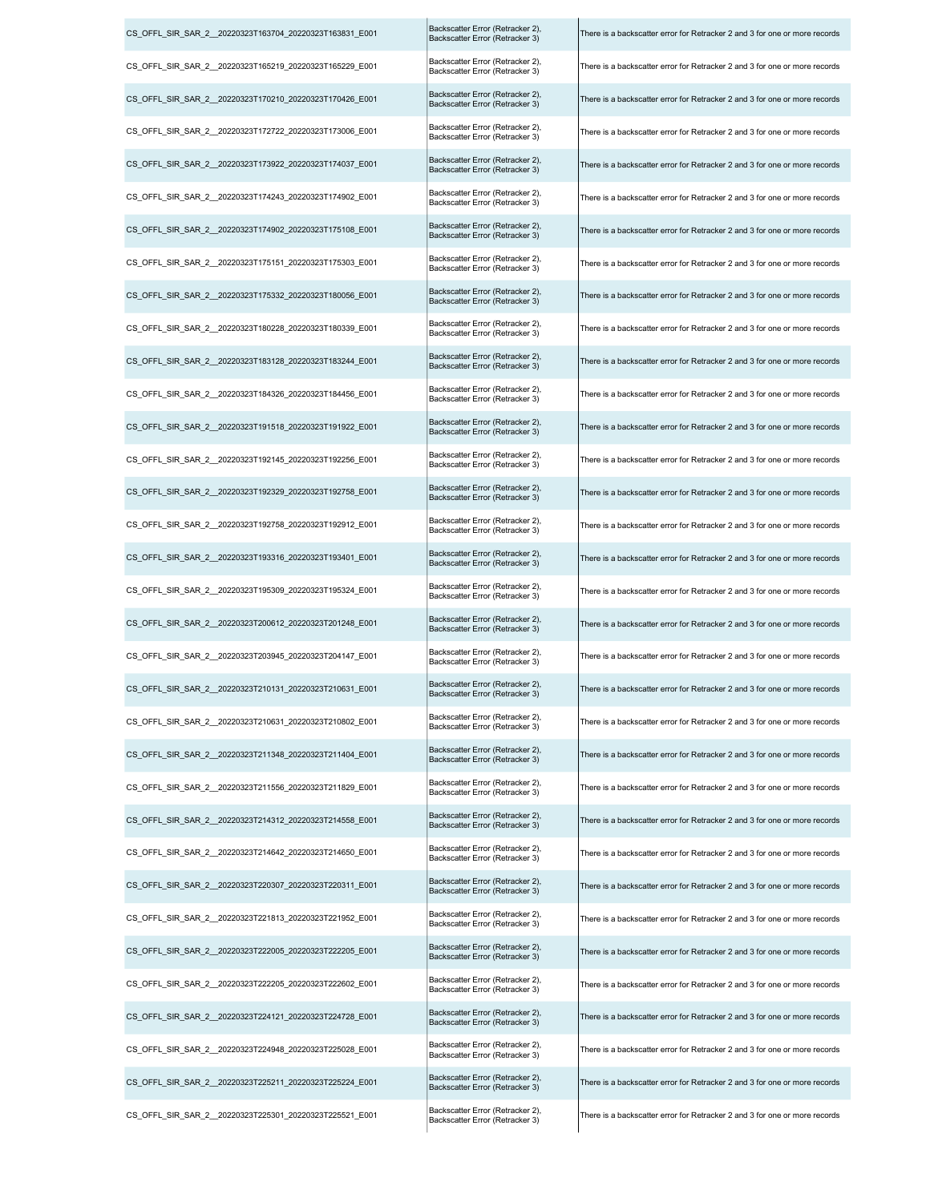| CS_OFFL_SIR_SAR_2_20220323T163704_20220323T163831_E001  | Backscatter Error (Retracker 2),<br>Backscatter Error (Retracker 3) | There is a backscatter error for Retracker 2 and 3 for one or more records |
|---------------------------------------------------------|---------------------------------------------------------------------|----------------------------------------------------------------------------|
| CS_OFFL_SIR_SAR_2__20220323T165219_20220323T165229_E001 | Backscatter Error (Retracker 2),<br>Backscatter Error (Retracker 3) | There is a backscatter error for Retracker 2 and 3 for one or more records |
| CS_OFFL_SIR_SAR_2_20220323T170210_20220323T170426_E001  | Backscatter Error (Retracker 2),<br>Backscatter Error (Retracker 3) | There is a backscatter error for Retracker 2 and 3 for one or more records |
| CS_OFFL_SIR_SAR_2_20220323T172722_20220323T173006_E001  | Backscatter Error (Retracker 2),<br>Backscatter Error (Retracker 3) | There is a backscatter error for Retracker 2 and 3 for one or more records |
| CS OFFL SIR SAR 2 20220323T173922 20220323T174037 E001  | Backscatter Error (Retracker 2),<br>Backscatter Error (Retracker 3) | There is a backscatter error for Retracker 2 and 3 for one or more records |
| CS OFFL SIR SAR 2 20220323T174243 20220323T174902 E001  | Backscatter Error (Retracker 2),<br>Backscatter Error (Retracker 3) | There is a backscatter error for Retracker 2 and 3 for one or more records |
| CS OFFL SIR SAR 2 20220323T174902 20220323T175108 E001  | Backscatter Error (Retracker 2),<br>Backscatter Error (Retracker 3) | There is a backscatter error for Retracker 2 and 3 for one or more records |
| CS_OFFL_SIR_SAR_2_20220323T175151_20220323T175303_E001  | Backscatter Error (Retracker 2),<br>Backscatter Error (Retracker 3) | There is a backscatter error for Retracker 2 and 3 for one or more records |
| CS_OFFL_SIR_SAR_2_20220323T175332_20220323T180056_E001  | Backscatter Error (Retracker 2),<br>Backscatter Error (Retracker 3) | There is a backscatter error for Retracker 2 and 3 for one or more records |
| CS OFFL SIR SAR 2 20220323T180228 20220323T180339 E001  | Backscatter Error (Retracker 2),<br>Backscatter Error (Retracker 3) | There is a backscatter error for Retracker 2 and 3 for one or more records |
| CS_OFFL_SIR_SAR_2__20220323T183128_20220323T183244_E001 | Backscatter Error (Retracker 2),<br>Backscatter Error (Retracker 3) | There is a backscatter error for Retracker 2 and 3 for one or more records |
| CS_OFFL_SIR_SAR_2__20220323T184326_20220323T184456_E001 | Backscatter Error (Retracker 2),<br>Backscatter Error (Retracker 3) | There is a backscatter error for Retracker 2 and 3 for one or more records |
| CS_OFFL_SIR_SAR_2_20220323T191518_20220323T191922_E001  | Backscatter Error (Retracker 2),<br>Backscatter Error (Retracker 3) | There is a backscatter error for Retracker 2 and 3 for one or more records |
| CS_OFFL_SIR_SAR_2_20220323T192145_20220323T192256_E001  | Backscatter Error (Retracker 2),<br>Backscatter Error (Retracker 3) | There is a backscatter error for Retracker 2 and 3 for one or more records |
| CS OFFL SIR SAR 2 20220323T192329 20220323T192758 E001  | Backscatter Error (Retracker 2),<br>Backscatter Error (Retracker 3) | There is a backscatter error for Retracker 2 and 3 for one or more records |
| CS_OFFL_SIR_SAR_2__20220323T192758_20220323T192912_E001 | Backscatter Error (Retracker 2),<br>Backscatter Error (Retracker 3) | There is a backscatter error for Retracker 2 and 3 for one or more records |
| CS_OFFL_SIR_SAR_2_20220323T193316_20220323T193401_E001  | Backscatter Error (Retracker 2),<br>Backscatter Error (Retracker 3) | There is a backscatter error for Retracker 2 and 3 for one or more records |
| CS_OFFL_SIR_SAR_2_20220323T195309_20220323T195324_E001  | Backscatter Error (Retracker 2),<br>Backscatter Error (Retracker 3) | There is a backscatter error for Retracker 2 and 3 for one or more records |
| CS_OFFL_SIR_SAR_2_20220323T200612_20220323T201248_E001  | Backscatter Error (Retracker 2),<br>Backscatter Error (Retracker 3) | There is a backscatter error for Retracker 2 and 3 for one or more records |
| CS OFFL SIR SAR 2 20220323T203945 20220323T204147 E001  | Backscatter Error (Retracker 2),<br>Backscatter Error (Retracker 3) | There is a backscatter error for Retracker 2 and 3 for one or more records |
| CS_OFFL_SIR_SAR_2_20220323T210131_20220323T210631_E001  | Backscatter Error (Retracker 2),<br>Backscatter Error (Retracker 3) | There is a backscatter error for Retracker 2 and 3 for one or more records |
| CS OFFL SIR SAR 2 20220323T210631 20220323T210802 E001  | Backscatter Error (Retracker 2),<br>Backscatter Error (Retracker 3) | There is a backscatter error for Retracker 2 and 3 for one or more records |
| CS_OFFL_SIR_SAR_2_20220323T211348_20220323T211404_E001  | Backscatter Error (Retracker 2),<br>Backscatter Error (Retracker 3) | There is a backscatter error for Retracker 2 and 3 for one or more records |
| CS_OFFL_SIR_SAR_2__20220323T211556_20220323T211829_E001 | Backscatter Error (Retracker 2),<br>Backscatter Error (Retracker 3) | There is a backscatter error for Retracker 2 and 3 for one or more records |
| CS_OFFL_SIR_SAR_2__20220323T214312_20220323T214558_E001 | Backscatter Error (Retracker 2),<br>Backscatter Error (Retracker 3) | There is a backscatter error for Retracker 2 and 3 for one or more records |
| CS OFFL SIR SAR 2 20220323T214642 20220323T214650 E001  | Backscatter Error (Retracker 2),<br>Backscatter Error (Retracker 3) | There is a backscatter error for Retracker 2 and 3 for one or more records |
| CS OFFL SIR SAR 2 20220323T220307 20220323T220311 E001  | Backscatter Error (Retracker 2),<br>Backscatter Error (Retracker 3) | There is a backscatter error for Retracker 2 and 3 for one or more records |
| CS_OFFL_SIR_SAR_2_20220323T221813_20220323T221952_E001  | Backscatter Error (Retracker 2),<br>Backscatter Error (Retracker 3) | There is a backscatter error for Retracker 2 and 3 for one or more records |
| CS_OFFL_SIR_SAR_2_20220323T222005_20220323T222205_E001  | Backscatter Error (Retracker 2),<br>Backscatter Error (Retracker 3) | There is a backscatter error for Retracker 2 and 3 for one or more records |
| CS_OFFL_SIR_SAR_2__20220323T222205_20220323T222602_E001 | Backscatter Error (Retracker 2),<br>Backscatter Error (Retracker 3) | There is a backscatter error for Retracker 2 and 3 for one or more records |
| CS_OFFL_SIR_SAR_2_20220323T224121_20220323T224728_E001  | Backscatter Error (Retracker 2),<br>Backscatter Error (Retracker 3) | There is a backscatter error for Retracker 2 and 3 for one or more records |
| CS_OFFL_SIR_SAR_2_20220323T224948_20220323T225028_E001  | Backscatter Error (Retracker 2),<br>Backscatter Error (Retracker 3) | There is a backscatter error for Retracker 2 and 3 for one or more records |
| CS_OFFL_SIR_SAR_2_20220323T225211_20220323T225224_E001  | Backscatter Error (Retracker 2),<br>Backscatter Error (Retracker 3) | There is a backscatter error for Retracker 2 and 3 for one or more records |
| CS_OFFL_SIR_SAR_2_20220323T225301_20220323T225521_E001  | Backscatter Error (Retracker 2),<br>Backscatter Error (Retracker 3) | There is a backscatter error for Retracker 2 and 3 for one or more records |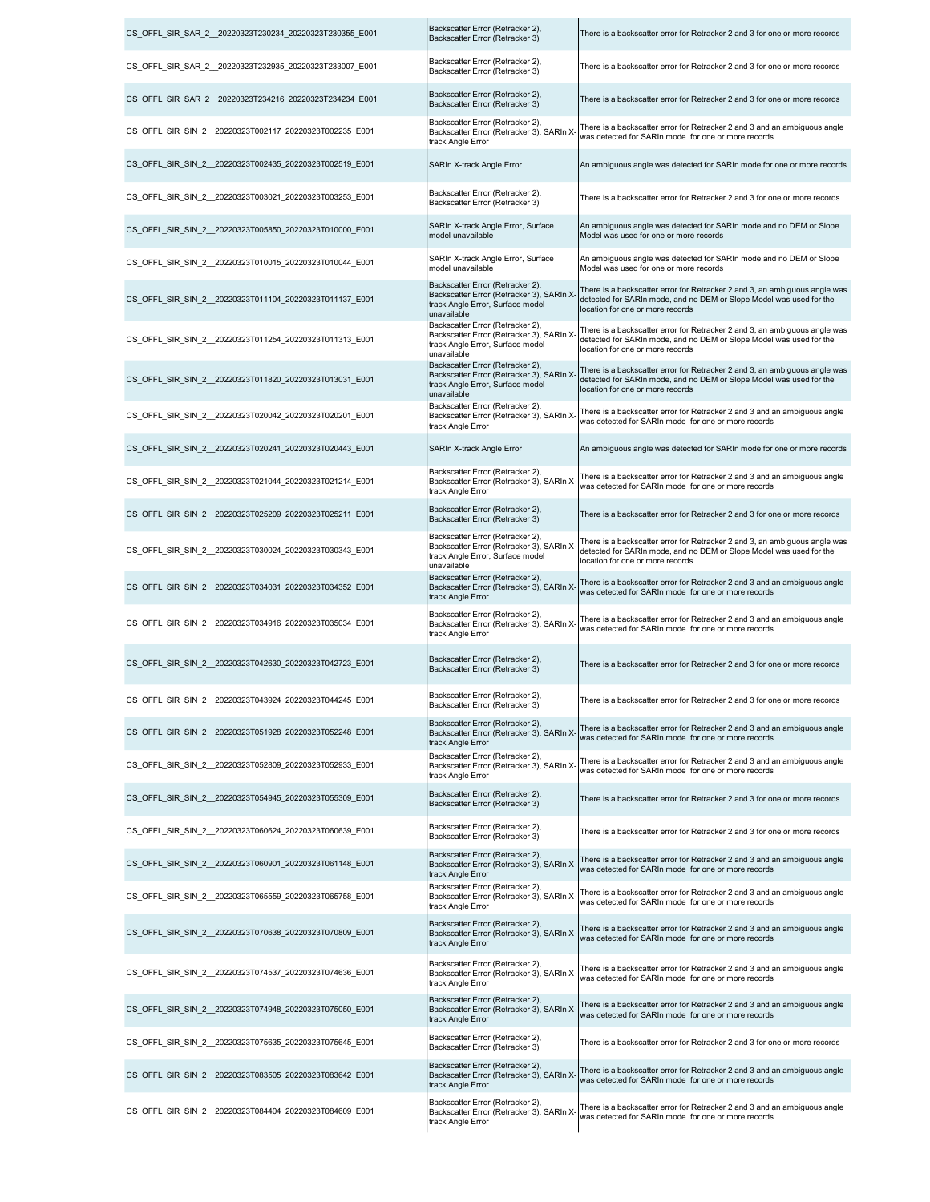| CS_OFFL_SIR_SAR_2_20220323T230234_20220323T230355_E001 | Backscatter Error (Retracker 2),<br>Backscatter Error (Retracker 3)                                                             | There is a backscatter error for Retracker 2 and 3 for one or more records                                                                                                            |
|--------------------------------------------------------|---------------------------------------------------------------------------------------------------------------------------------|---------------------------------------------------------------------------------------------------------------------------------------------------------------------------------------|
| CS OFFL SIR SAR 2 20220323T232935 20220323T233007 E001 | Backscatter Error (Retracker 2),<br>Backscatter Error (Retracker 3)                                                             | There is a backscatter error for Retracker 2 and 3 for one or more records                                                                                                            |
| CS_OFFL_SIR_SAR_2_20220323T234216_20220323T234234_E001 | Backscatter Error (Retracker 2),<br>Backscatter Error (Retracker 3)                                                             | There is a backscatter error for Retracker 2 and 3 for one or more records                                                                                                            |
| CS_OFFL_SIR_SIN_2_20220323T002117_20220323T002235_E001 | Backscatter Error (Retracker 2),<br>Backscatter Error (Retracker 3), SARIn X<br>track Angle Error                               | There is a backscatter error for Retracker 2 and 3 and an ambiguous angle<br>was detected for SARIn mode for one or more records                                                      |
| CS_OFFL_SIR_SIN_2_20220323T002435_20220323T002519_E001 | SARIn X-track Angle Error                                                                                                       | An ambiguous angle was detected for SARIn mode for one or more records                                                                                                                |
| CS_OFFL_SIR_SIN_2_20220323T003021_20220323T003253_E001 | Backscatter Error (Retracker 2),<br>Backscatter Error (Retracker 3)                                                             | There is a backscatter error for Retracker 2 and 3 for one or more records                                                                                                            |
| CS OFFL SIR SIN 2 20220323T005850 20220323T010000 E001 | SARIn X-track Angle Error, Surface<br>model unavailable                                                                         | An ambiguous angle was detected for SARIn mode and no DEM or Slope<br>Model was used for one or more records                                                                          |
| CS OFFL SIR SIN 2 20220323T010015 20220323T010044 E001 | SARIn X-track Angle Error, Surface<br>model unavailable                                                                         | An ambiguous angle was detected for SARIn mode and no DEM or Slope<br>Model was used for one or more records                                                                          |
| CS_OFFL_SIR_SIN_2_20220323T011104_20220323T011137_E001 | Backscatter Error (Retracker 2),<br>Backscatter Error (Retracker 3), SARIn X<br>track Angle Error, Surface model<br>unavailable | There is a backscatter error for Retracker 2 and 3, an ambiguous angle was<br>detected for SARIn mode, and no DEM or Slope Model was used for the<br>location for one or more records |
| CS OFFL SIR SIN 2 20220323T011254 20220323T011313 E001 | Backscatter Error (Retracker 2),<br>Backscatter Error (Retracker 3), SARIn X<br>track Angle Error, Surface model<br>unavailable | There is a backscatter error for Retracker 2 and 3, an ambiguous angle was<br>detected for SARIn mode, and no DEM or Slope Model was used for the<br>location for one or more records |
| CS_OFFL_SIR_SIN_2_20220323T011820_20220323T013031_E001 | Backscatter Error (Retracker 2),<br>Backscatter Error (Retracker 3), SARIn X<br>track Angle Error, Surface model<br>unavailable | There is a backscatter error for Retracker 2 and 3, an ambiguous angle was<br>detected for SARIn mode, and no DEM or Slope Model was used for the<br>location for one or more records |
| CS_OFFL_SIR_SIN_2_20220323T020042_20220323T020201_E001 | Backscatter Error (Retracker 2),<br>Backscatter Error (Retracker 3), SARIn X<br>track Angle Error                               | There is a backscatter error for Retracker 2 and 3 and an ambiguous angle<br>was detected for SARIn mode for one or more records                                                      |
| CS OFFL SIR SIN 2 20220323T020241 20220323T020443 E001 | SARIn X-track Angle Error                                                                                                       | An ambiguous angle was detected for SARIn mode for one or more records                                                                                                                |
| CS_OFFL_SIR_SIN_2_20220323T021044_20220323T021214_E001 | Backscatter Error (Retracker 2),<br>Backscatter Error (Retracker 3), SARIn X<br>track Angle Error                               | There is a backscatter error for Retracker 2 and 3 and an ambiguous angle<br>was detected for SARIn mode for one or more records                                                      |
| CS_OFFL_SIR_SIN_2_20220323T025209_20220323T025211_E001 | Backscatter Error (Retracker 2),<br>Backscatter Error (Retracker 3)                                                             | There is a backscatter error for Retracker 2 and 3 for one or more records                                                                                                            |
| CS_OFFL_SIR_SIN_2_20220323T030024_20220323T030343_E001 | Backscatter Error (Retracker 2),<br>Backscatter Error (Retracker 3), SARIn X<br>track Angle Error, Surface model<br>unavailable | There is a backscatter error for Retracker 2 and 3, an ambiguous angle was<br>detected for SARIn mode, and no DEM or Slope Model was used for the<br>location for one or more records |
| CS OFFL SIR SIN_2_20220323T034031_20220323T034352_E001 | Backscatter Error (Retracker 2),<br>Backscatter Error (Retracker 3), SARIn X<br>track Angle Error                               | There is a backscatter error for Retracker 2 and 3 and an ambiguous angle<br>was detected for SARIn mode for one or more records                                                      |
| CS OFFL SIR SIN 2 20220323T034916 20220323T035034 E001 | Backscatter Error (Retracker 2),<br>Backscatter Error (Retracker 3), SARIn X<br>track Angle Error                               | There is a backscatter error for Retracker 2 and 3 and an ambiguous angle<br>was detected for SARIn mode for one or more records                                                      |
| CS_OFFL_SIR_SIN_2_20220323T042630_20220323T042723_E001 | Backscatter Error (Retracker 2),<br>Backscatter Error (Retracker 3)                                                             | There is a backscatter error for Retracker 2 and 3 for one or more records                                                                                                            |
| CS_OFFL_SIR_SIN_2_20220323T043924_20220323T044245_E001 | Backscatter Error (Retracker 2),<br>Backscatter Error (Retracker 3)                                                             | There is a backscatter error for Retracker 2 and 3 for one or more records                                                                                                            |
| CS OFFL SIR SIN 2 20220323T051928 20220323T052248 E001 | Backscatter Error (Retracker 2),<br>Backscatter Error (Retracker 3), SARIn X<br>track Angle Error                               | There is a backscatter error for Retracker 2 and 3 and an ambiguous angle<br>was detected for SARIn mode for one or more records                                                      |
| CS_OFFL_SIR_SIN_2_20220323T052809_20220323T052933_E001 | Backscatter Error (Retracker 2),<br>Backscatter Error (Retracker 3), SARIn X-<br>track Angle Error                              | There is a backscatter error for Retracker 2 and 3 and an ambiguous angle<br>was detected for SARIn mode for one or more records                                                      |
| CS_OFFL_SIR_SIN_2_20220323T054945_20220323T055309_E001 | Backscatter Error (Retracker 2),<br>Backscatter Error (Retracker 3)                                                             | There is a backscatter error for Retracker 2 and 3 for one or more records                                                                                                            |
| CS OFFL SIR SIN 2 20220323T060624 20220323T060639 E001 | Backscatter Error (Retracker 2),<br>Backscatter Error (Retracker 3)                                                             | There is a backscatter error for Retracker 2 and 3 for one or more records                                                                                                            |
| CS OFFL SIR SIN 2 20220323T060901 20220323T061148 E001 | Backscatter Error (Retracker 2),<br>Backscatter Error (Retracker 3), SARIn X<br>track Angle Error                               | There is a backscatter error for Retracker 2 and 3 and an ambiguous angle<br>was detected for SARIn mode for one or more records                                                      |
| CS_OFFL_SIR_SIN_2_20220323T065559_20220323T065758_E001 | Backscatter Error (Retracker 2),<br>Backscatter Error (Retracker 3), SARIn X<br>track Angle Error                               | There is a backscatter error for Retracker 2 and 3 and an ambiguous angle<br>was detected for SARIn mode for one or more records                                                      |
| CS_OFFL_SIR_SIN_2_20220323T070638_20220323T070809_E001 | Backscatter Error (Retracker 2),<br>Backscatter Error (Retracker 3), SARIn X<br>track Angle Error                               | There is a backscatter error for Retracker 2 and 3 and an ambiguous angle<br>was detected for SARIn mode for one or more records                                                      |
| CS OFFL SIR SIN 2 20220323T074537 20220323T074636 E001 | Backscatter Error (Retracker 2),<br>Backscatter Error (Retracker 3), SARIn X-<br>track Angle Error                              | There is a backscatter error for Retracker 2 and 3 and an ambiguous angle<br>was detected for SARIn mode for one or more records                                                      |
| CS OFFL SIR SIN 2 20220323T074948 20220323T075050 E001 | Backscatter Error (Retracker 2),<br>Backscatter Error (Retracker 3), SARIn X<br>track Angle Error                               | There is a backscatter error for Retracker 2 and 3 and an ambiguous angle<br>was detected for SARIn mode for one or more records                                                      |
| CS OFFL SIR SIN 2 20220323T075635 20220323T075645 E001 | Backscatter Error (Retracker 2),<br>Backscatter Error (Retracker 3)                                                             | There is a backscatter error for Retracker 2 and 3 for one or more records                                                                                                            |
| CS OFFL SIR SIN 2 20220323T083505 20220323T083642 E001 | Backscatter Error (Retracker 2),<br>Backscatter Error (Retracker 3), SARIn X<br>track Angle Error                               | There is a backscatter error for Retracker 2 and 3 and an ambiguous angle<br>was detected for SARIn mode for one or more records                                                      |
| CS_OFFL_SIR_SIN_2_20220323T084404_20220323T084609_E001 | Backscatter Error (Retracker 2),<br>Backscatter Error (Retracker 3), SARIn X-<br>track Angle Error                              | There is a backscatter error for Retracker 2 and 3 and an ambiguous angle<br>was detected for SARIn mode for one or more records                                                      |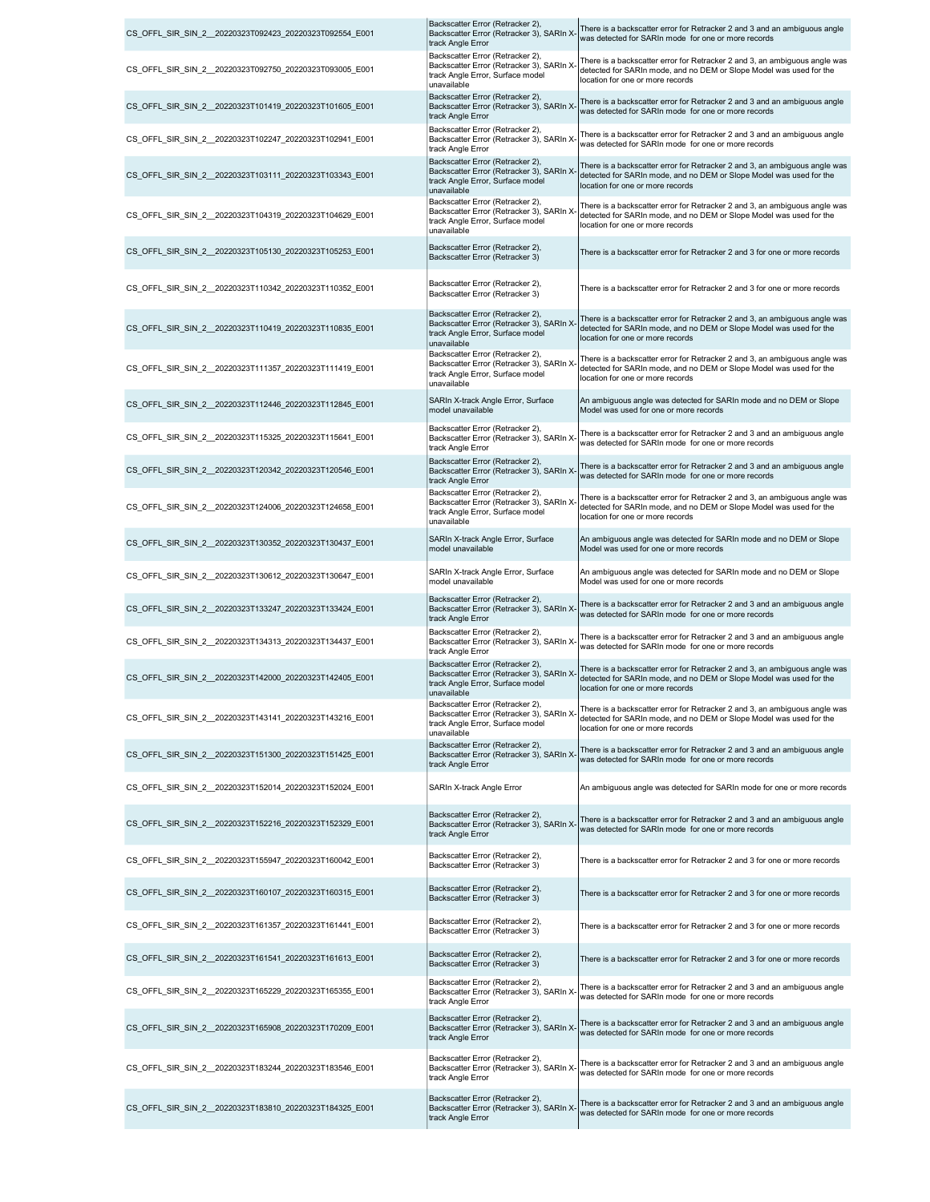| CS OFFL SIR SIN 2 20220323T092423 20220323T092554 E001  | Backscatter Error (Retracker 2),<br>Backscatter Error (Retracker 3), SARIn X-<br>track Angle Error                               | There is a backscatter error for Retracker 2 and 3 and an ambiguous angle<br>was detected for SARIn mode for one or more records                                                      |
|---------------------------------------------------------|----------------------------------------------------------------------------------------------------------------------------------|---------------------------------------------------------------------------------------------------------------------------------------------------------------------------------------|
| CS OFFL SIR SIN 2 20220323T092750 20220323T093005 E001  | Backscatter Error (Retracker 2),<br>Backscatter Error (Retracker 3), SARIn X-<br>track Angle Error, Surface model<br>unavailable | There is a backscatter error for Retracker 2 and 3, an ambiguous angle was<br>detected for SARIn mode, and no DEM or Slope Model was used for the<br>location for one or more records |
| CS OFFL SIR SIN 2 20220323T101419 20220323T101605 E001  | Backscatter Error (Retracker 2),<br>Backscatter Error (Retracker 3), SARIn X-<br>track Angle Error                               | There is a backscatter error for Retracker 2 and 3 and an ambiguous angle<br>was detected for SARIn mode for one or more records                                                      |
| CS OFFL SIR SIN 2 20220323T102247 20220323T102941 E001  | Backscatter Error (Retracker 2),<br>Backscatter Error (Retracker 3), SARIn X-<br>track Angle Error                               | There is a backscatter error for Retracker 2 and 3 and an ambiguous angle<br>was detected for SARIn mode for one or more records                                                      |
| CS OFFL SIR SIN 2 20220323T103111 20220323T103343 E001  | Backscatter Error (Retracker 2),<br>Backscatter Error (Retracker 3), SARIn X-<br>track Angle Error, Surface model<br>unavailable | There is a backscatter error for Retracker 2 and 3, an ambiguous angle was<br>detected for SARIn mode, and no DEM or Slope Model was used for the<br>location for one or more records |
| CS OFFL SIR SIN 2 20220323T104319 20220323T104629 E001  | Backscatter Error (Retracker 2),<br>Backscatter Error (Retracker 3), SARIn X<br>track Angle Error, Surface model<br>unavailable  | There is a backscatter error for Retracker 2 and 3, an ambiguous angle was<br>detected for SARIn mode, and no DEM or Slope Model was used for the<br>location for one or more records |
| CS OFFL SIR SIN 2 20220323T105130 20220323T105253 E001  | Backscatter Error (Retracker 2),<br>Backscatter Error (Retracker 3)                                                              | There is a backscatter error for Retracker 2 and 3 for one or more records                                                                                                            |
| CS OFFL SIR SIN 2 20220323T110342 20220323T110352 E001  | Backscatter Error (Retracker 2),<br>Backscatter Error (Retracker 3)                                                              | There is a backscatter error for Retracker 2 and 3 for one or more records                                                                                                            |
| CS_OFFL_SIR_SIN_2_20220323T110419_20220323T110835_E001  | Backscatter Error (Retracker 2),<br>Backscatter Error (Retracker 3), SARIn X-<br>track Angle Error, Surface model<br>unavailable | There is a backscatter error for Retracker 2 and 3, an ambiguous angle was<br>detected for SARIn mode, and no DEM or Slope Model was used for the<br>location for one or more records |
| CS_OFFL_SIR_SIN_2__20220323T111357_20220323T111419_E001 | Backscatter Error (Retracker 2),<br>Backscatter Error (Retracker 3), SARIn X<br>track Angle Error, Surface model<br>unavailable  | There is a backscatter error for Retracker 2 and 3, an ambiguous angle was<br>detected for SARIn mode, and no DEM or Slope Model was used for the<br>location for one or more records |
| CS OFFL SIR SIN 2 20220323T112446 20220323T112845 E001  | SARIn X-track Angle Error, Surface<br>model unavailable                                                                          | An ambiguous angle was detected for SARIn mode and no DEM or Slope<br>Model was used for one or more records                                                                          |
| CS_OFFL_SIR_SIN_2_20220323T115325_20220323T115641_E001  | Backscatter Error (Retracker 2),<br>Backscatter Error (Retracker 3), SARIn X-<br>track Angle Error                               | There is a backscatter error for Retracker 2 and 3 and an ambiguous angle<br>was detected for SARIn mode for one or more records                                                      |
| CS OFFL SIR SIN 2 20220323T120342 20220323T120546 E001  | Backscatter Error (Retracker 2),<br>Backscatter Error (Retracker 3), SARIn X-<br>track Angle Error                               | There is a backscatter error for Retracker 2 and 3 and an ambiguous angle<br>was detected for SARIn mode for one or more records                                                      |
| CS OFFL SIR SIN 2 20220323T124006 20220323T124658 E001  | Backscatter Error (Retracker 2),<br>Backscatter Error (Retracker 3), SARIn X<br>track Angle Error, Surface model<br>unavailable  | There is a backscatter error for Retracker 2 and 3, an ambiguous angle was<br>detected for SARIn mode, and no DEM or Slope Model was used for the<br>location for one or more records |
| CS OFFL SIR SIN 2 20220323T130352 20220323T130437 E001  | SARIn X-track Angle Error, Surface<br>model unavailable                                                                          | An ambiguous angle was detected for SARIn mode and no DEM or Slope<br>Model was used for one or more records                                                                          |
| CS_OFFL_SIR_SIN_2__20220323T130612_20220323T130647_E001 | SARIn X-track Angle Error, Surface<br>model unavailable                                                                          | An ambiguous angle was detected for SARIn mode and no DEM or Slope<br>Model was used for one or more records                                                                          |
| CS OFFL SIR SIN 2 20220323T133247 20220323T133424 E001  | Backscatter Error (Retracker 2),<br>Backscatter Error (Retracker 3), SARIn X-<br>track Angle Error                               | There is a backscatter error for Retracker 2 and 3 and an ambiguous angle<br>was detected for SARIn mode for one or more records                                                      |
| CS OFFL SIR SIN 2 20220323T134313 20220323T134437 E001  | Backscatter Error (Retracker 2),<br>Backscatter Error (Retracker 3), SARIn X-<br>track Angle Error                               | There is a backscatter error for Retracker 2 and 3 and an ambiguous angle<br>was detected for SARIn mode for one or more records                                                      |
| CS OFFL SIR SIN 2 20220323T142000 20220323T142405 E001  | Backscatter Error (Retracker 2),<br>Backscatter Error (Retracker 3), SARIn X<br>track Angle Error, Surface model<br>unavailable  | There is a backscatter error for Retracker 2 and 3, an ambiguous angle was<br>detected for SARIn mode, and no DEM or Slope Model was used for the<br>location for one or more records |
| CS_OFFL_SIR_SIN_2_20220323T143141_20220323T143216_E001  | Backscatter Error (Retracker 2),<br>Backscatter Error (Retracker 3), SARIn X-<br>track Angle Error, Surface model<br>unavailable | There is a backscatter error for Retracker 2 and 3, an ambiguous angle was<br>detected for SARIn mode, and no DEM or Slope Model was used for the<br>location for one or more records |
| CS_OFFL_SIR_SIN_2_20220323T151300_20220323T151425_E001  | Backscatter Error (Retracker 2),<br>Backscatter Error (Retracker 3), SARIn X<br>track Angle Error                                | There is a backscatter error for Retracker 2 and 3 and an ambiguous angle<br>was detected for SARIn mode for one or more records                                                      |
| CS OFFL SIR SIN 2 20220323T152014 20220323T152024 E001  | SARIn X-track Angle Error                                                                                                        | An ambiguous angle was detected for SARIn mode for one or more records                                                                                                                |
| CS OFFL SIR SIN 2 20220323T152216 20220323T152329 E001  | Backscatter Error (Retracker 2),<br>Backscatter Error (Retracker 3), SARIn X-<br>track Angle Error                               | There is a backscatter error for Retracker 2 and 3 and an ambiguous angle<br>was detected for SARIn mode for one or more records                                                      |
| CS OFFL SIR SIN 2 20220323T155947 20220323T160042 E001  | Backscatter Error (Retracker 2),<br>Backscatter Error (Retracker 3)                                                              | There is a backscatter error for Retracker 2 and 3 for one or more records                                                                                                            |
| CS OFFL SIR SIN 2 20220323T160107 20220323T160315 E001  | Backscatter Error (Retracker 2),<br>Backscatter Error (Retracker 3)                                                              | There is a backscatter error for Retracker 2 and 3 for one or more records                                                                                                            |
| CS OFFL SIR SIN 2 20220323T161357 20220323T161441 E001  | Backscatter Error (Retracker 2),<br>Backscatter Error (Retracker 3)                                                              | There is a backscatter error for Retracker 2 and 3 for one or more records                                                                                                            |
| CS OFFL SIR SIN 2 20220323T161541 20220323T161613 E001  | Backscatter Error (Retracker 2),<br>Backscatter Error (Retracker 3)                                                              | There is a backscatter error for Retracker 2 and 3 for one or more records                                                                                                            |
| CS_OFFL_SIR_SIN_2_20220323T165229_20220323T165355_E001  | Backscatter Error (Retracker 2),<br>Backscatter Error (Retracker 3), SARIn X<br>track Angle Error                                | There is a backscatter error for Retracker 2 and 3 and an ambiguous angle<br>was detected for SARIn mode for one or more records                                                      |
| CS OFFL SIR SIN 2 20220323T165908 20220323T170209 E001  | Backscatter Error (Retracker 2),<br>Backscatter Error (Retracker 3), SARIn X<br>track Angle Error                                | There is a backscatter error for Retracker 2 and 3 and an ambiguous angle<br>was detected for SARIn mode for one or more records                                                      |
| CS OFFL SIR SIN 2 20220323T183244 20220323T183546 E001  | Backscatter Error (Retracker 2),<br>Backscatter Error (Retracker 3), SARIn X-<br>track Angle Error                               | There is a backscatter error for Retracker 2 and 3 and an ambiguous angle<br>was detected for SARIn mode for one or more records                                                      |
| CS_OFFL_SIR_SIN_2__20220323T183810_20220323T184325_E001 | Backscatter Error (Retracker 2),<br>Backscatter Error (Retracker 3), SARIn X-<br>track Angle Error                               | There is a backscatter error for Retracker 2 and 3 and an ambiguous angle<br>was detected for SARIn mode for one or more records                                                      |